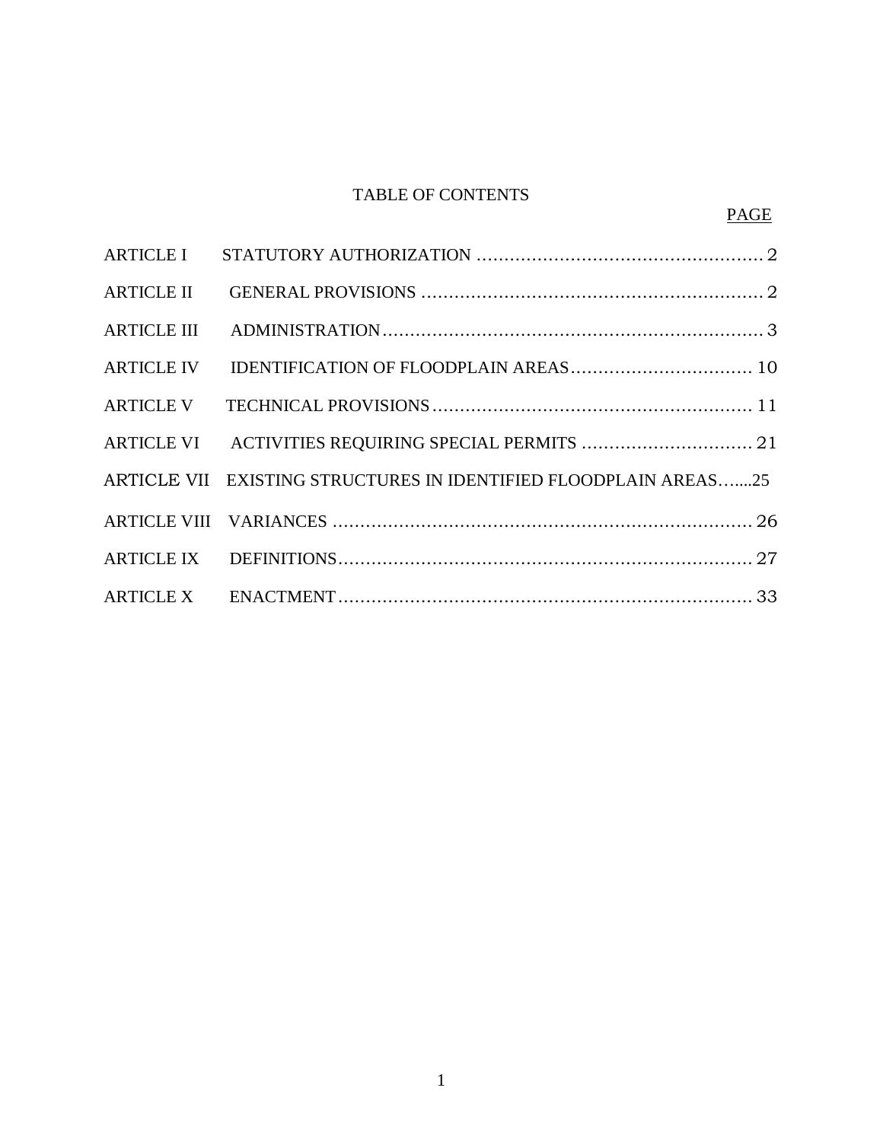# TABLE OF CONTENTS

| ARTICLE VI ACTIVITIES REQUIRING SPECIAL PERMITS  21              |
|------------------------------------------------------------------|
| ARTICLE VII EXISTING STRUCTURES IN IDENTIFIED FLOODPLAIN AREAS25 |
|                                                                  |
|                                                                  |
|                                                                  |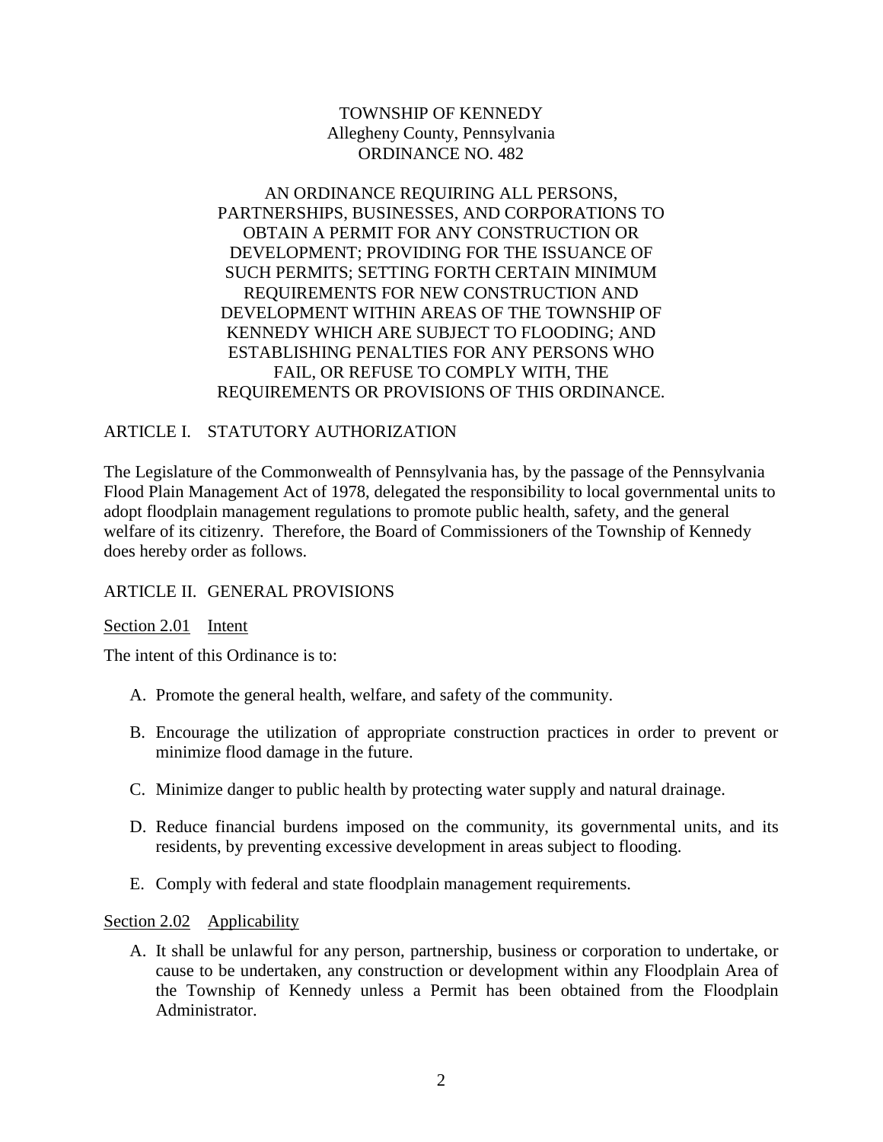TOWNSHIP OF KENNEDY Allegheny County, Pennsylvania ORDINANCE NO. 482

AN ORDINANCE REQUIRING ALL PERSONS, PARTNERSHIPS, BUSINESSES, AND CORPORATIONS TO OBTAIN A PERMIT FOR ANY CONSTRUCTION OR DEVELOPMENT; PROVIDING FOR THE ISSUANCE OF SUCH PERMITS; SETTING FORTH CERTAIN MINIMUM REQUIREMENTS FOR NEW CONSTRUCTION AND DEVELOPMENT WITHIN AREAS OF THE TOWNSHIP OF KENNEDY WHICH ARE SUBJECT TO FLOODING; AND ESTABLISHING PENALTIES FOR ANY PERSONS WHO FAIL, OR REFUSE TO COMPLY WITH, THE REQUIREMENTS OR PROVISIONS OF THIS ORDINANCE.

### ARTICLE I. STATUTORY AUTHORIZATION

The Legislature of the Commonwealth of Pennsylvania has, by the passage of the Pennsylvania Flood Plain Management Act of 1978, delegated the responsibility to local governmental units to adopt floodplain management regulations to promote public health, safety, and the general welfare of its citizenry. Therefore, the Board of Commissioners of the Township of Kennedy does hereby order as follows.

### ARTICLE II. GENERAL PROVISIONS

### Section 2.01 Intent

The intent of this Ordinance is to:

- A. Promote the general health, welfare, and safety of the community.
- B. Encourage the utilization of appropriate construction practices in order to prevent or minimize flood damage in the future.
- C. Minimize danger to public health by protecting water supply and natural drainage.
- D. Reduce financial burdens imposed on the community, its governmental units, and its residents, by preventing excessive development in areas subject to flooding.
- E. Comply with federal and state floodplain management requirements.

Section 2.02 Applicability

A. It shall be unlawful for any person, partnership, business or corporation to undertake, or cause to be undertaken, any construction or development within any Floodplain Area of the Township of Kennedy unless a Permit has been obtained from the Floodplain Administrator.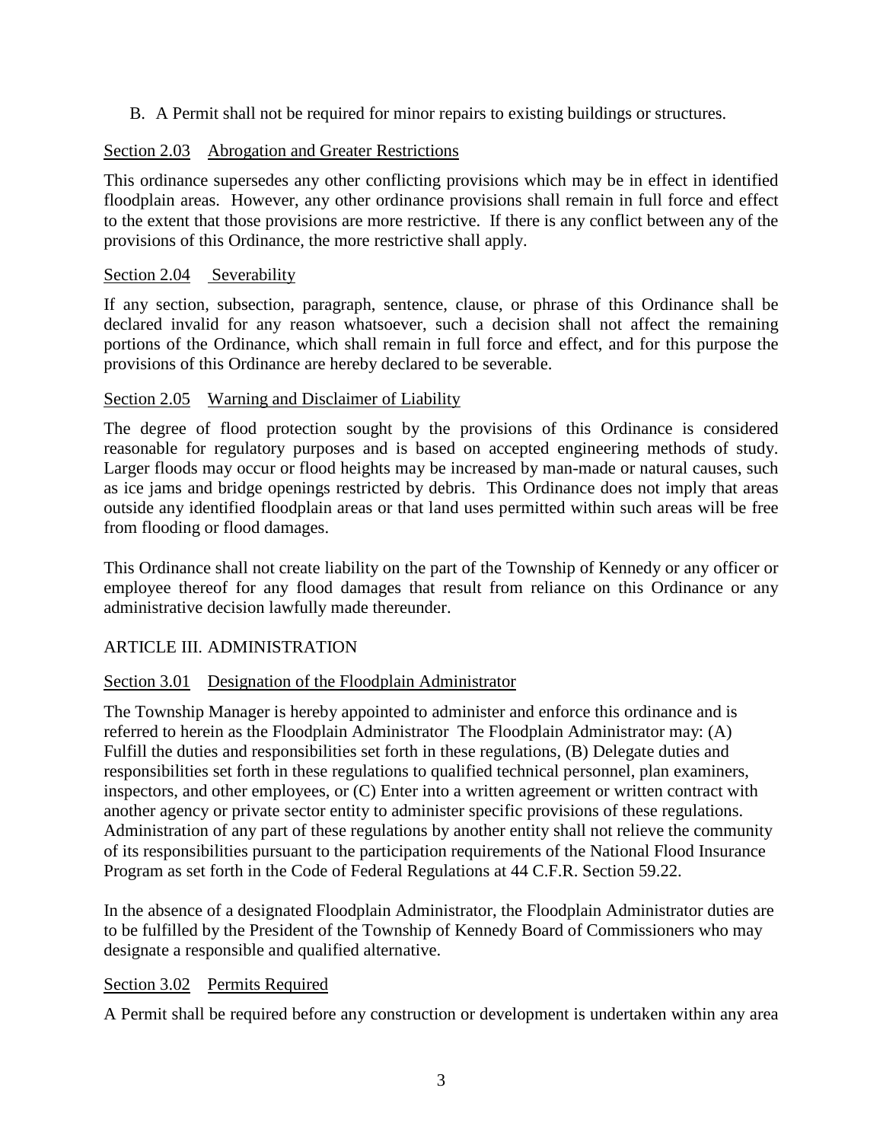B. A Permit shall not be required for minor repairs to existing buildings or structures.

## Section 2.03 Abrogation and Greater Restrictions

This ordinance supersedes any other conflicting provisions which may be in effect in identified floodplain areas. However, any other ordinance provisions shall remain in full force and effect to the extent that those provisions are more restrictive. If there is any conflict between any of the provisions of this Ordinance, the more restrictive shall apply.

### Section 2.04 Severability

If any section, subsection, paragraph, sentence, clause, or phrase of this Ordinance shall be declared invalid for any reason whatsoever, such a decision shall not affect the remaining portions of the Ordinance, which shall remain in full force and effect, and for this purpose the provisions of this Ordinance are hereby declared to be severable.

### Section 2.05 Warning and Disclaimer of Liability

The degree of flood protection sought by the provisions of this Ordinance is considered reasonable for regulatory purposes and is based on accepted engineering methods of study. Larger floods may occur or flood heights may be increased by man-made or natural causes, such as ice jams and bridge openings restricted by debris. This Ordinance does not imply that areas outside any identified floodplain areas or that land uses permitted within such areas will be free from flooding or flood damages.

This Ordinance shall not create liability on the part of the Township of Kennedy or any officer or employee thereof for any flood damages that result from reliance on this Ordinance or any administrative decision lawfully made thereunder.

### ARTICLE III. ADMINISTRATION

### Section 3.01 Designation of the Floodplain Administrator

The Township Manager is hereby appointed to administer and enforce this ordinance and is referred to herein as the Floodplain Administrator The Floodplain Administrator may: (A) Fulfill the duties and responsibilities set forth in these regulations, (B) Delegate duties and responsibilities set forth in these regulations to qualified technical personnel, plan examiners, inspectors, and other employees, or (C) Enter into a written agreement or written contract with another agency or private sector entity to administer specific provisions of these regulations. Administration of any part of these regulations by another entity shall not relieve the community of its responsibilities pursuant to the participation requirements of the National Flood Insurance Program as set forth in the Code of Federal Regulations at 44 C.F.R. Section 59.22.

In the absence of a designated Floodplain Administrator, the Floodplain Administrator duties are to be fulfilled by the President of the Township of Kennedy Board of Commissioners who may designate a responsible and qualified alternative.

### Section 3.02 Permits Required

A Permit shall be required before any construction or development is undertaken within any area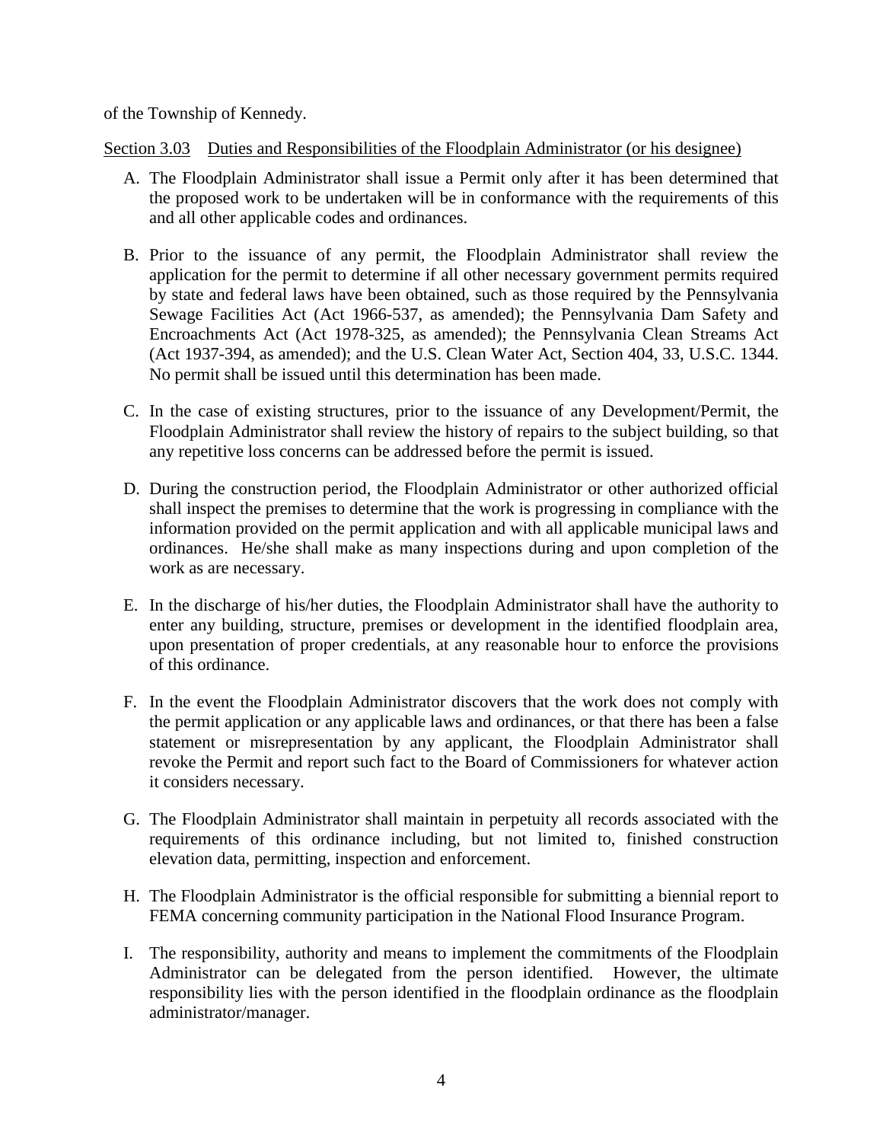of the Township of Kennedy.

Section 3.03 Duties and Responsibilities of the Floodplain Administrator (or his designee)

- A. The Floodplain Administrator shall issue a Permit only after it has been determined that the proposed work to be undertaken will be in conformance with the requirements of this and all other applicable codes and ordinances.
- B. Prior to the issuance of any permit, the Floodplain Administrator shall review the application for the permit to determine if all other necessary government permits required by state and federal laws have been obtained, such as those required by the Pennsylvania Sewage Facilities Act (Act 1966-537, as amended); the Pennsylvania Dam Safety and Encroachments Act (Act 1978-325, as amended); the Pennsylvania Clean Streams Act (Act 1937-394, as amended); and the U.S. Clean Water Act, Section 404, 33, U.S.C. 1344. No permit shall be issued until this determination has been made.
- C. In the case of existing structures, prior to the issuance of any Development/Permit, the Floodplain Administrator shall review the history of repairs to the subject building, so that any repetitive loss concerns can be addressed before the permit is issued.
- D. During the construction period, the Floodplain Administrator or other authorized official shall inspect the premises to determine that the work is progressing in compliance with the information provided on the permit application and with all applicable municipal laws and ordinances. He/she shall make as many inspections during and upon completion of the work as are necessary.
- E. In the discharge of his/her duties, the Floodplain Administrator shall have the authority to enter any building, structure, premises or development in the identified floodplain area, upon presentation of proper credentials, at any reasonable hour to enforce the provisions of this ordinance.
- F. In the event the Floodplain Administrator discovers that the work does not comply with the permit application or any applicable laws and ordinances, or that there has been a false statement or misrepresentation by any applicant, the Floodplain Administrator shall revoke the Permit and report such fact to the Board of Commissioners for whatever action it considers necessary.
- G. The Floodplain Administrator shall maintain in perpetuity all records associated with the requirements of this ordinance including, but not limited to, finished construction elevation data, permitting, inspection and enforcement.
- H. The Floodplain Administrator is the official responsible for submitting a biennial report to FEMA concerning community participation in the National Flood Insurance Program.
- I. The responsibility, authority and means to implement the commitments of the Floodplain Administrator can be delegated from the person identified. However, the ultimate responsibility lies with the person identified in the floodplain ordinance as the floodplain administrator/manager.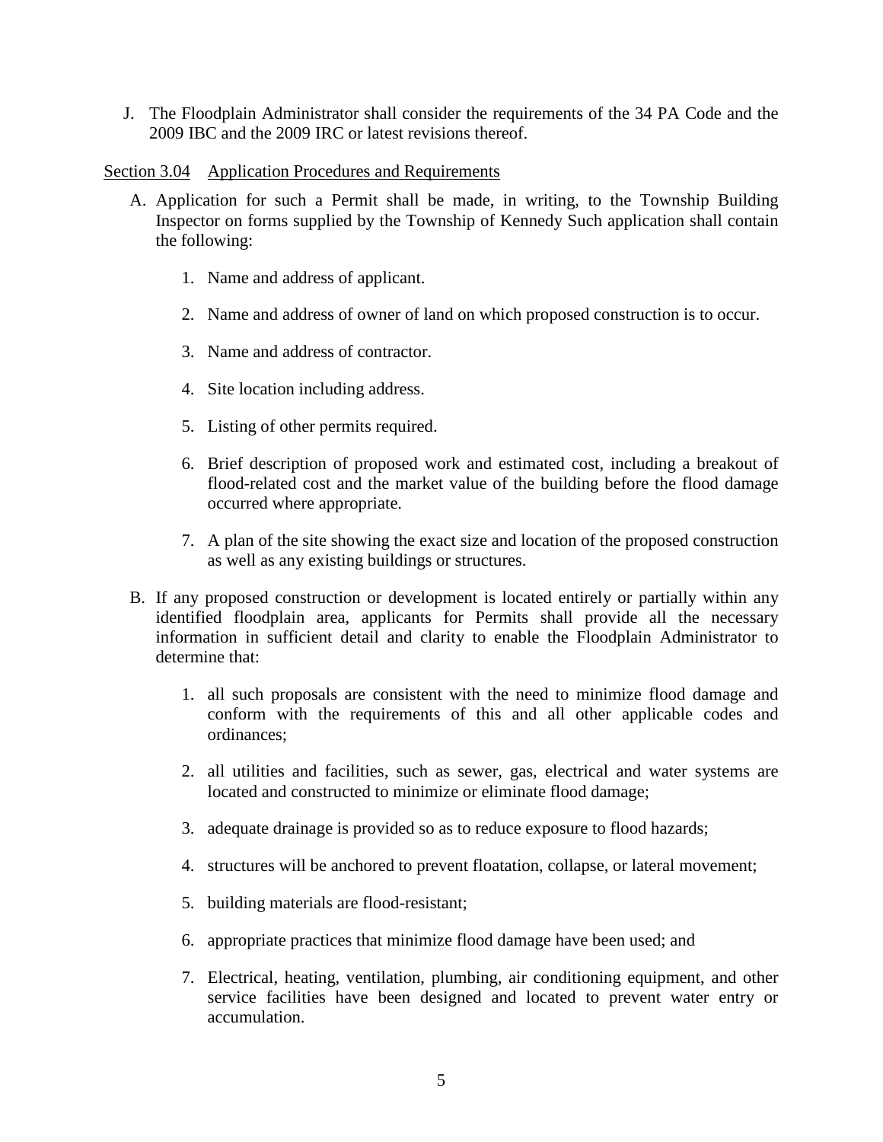J. The Floodplain Administrator shall consider the requirements of the 34 PA Code and the 2009 IBC and the 2009 IRC or latest revisions thereof.

### Section 3.04 Application Procedures and Requirements

- A. Application for such a Permit shall be made, in writing, to the Township Building Inspector on forms supplied by the Township of Kennedy Such application shall contain the following:
	- 1. Name and address of applicant.
	- 2. Name and address of owner of land on which proposed construction is to occur.
	- 3. Name and address of contractor.
	- 4. Site location including address.
	- 5. Listing of other permits required.
	- 6. Brief description of proposed work and estimated cost, including a breakout of flood-related cost and the market value of the building before the flood damage occurred where appropriate.
	- 7. A plan of the site showing the exact size and location of the proposed construction as well as any existing buildings or structures.
- B. If any proposed construction or development is located entirely or partially within any identified floodplain area, applicants for Permits shall provide all the necessary information in sufficient detail and clarity to enable the Floodplain Administrator to determine that:
	- 1. all such proposals are consistent with the need to minimize flood damage and conform with the requirements of this and all other applicable codes and ordinances;
	- 2. all utilities and facilities, such as sewer, gas, electrical and water systems are located and constructed to minimize or eliminate flood damage;
	- 3. adequate drainage is provided so as to reduce exposure to flood hazards;
	- 4. structures will be anchored to prevent floatation, collapse, or lateral movement;
	- 5. building materials are flood-resistant;
	- 6. appropriate practices that minimize flood damage have been used; and
	- 7. Electrical, heating, ventilation, plumbing, air conditioning equipment, and other service facilities have been designed and located to prevent water entry or accumulation.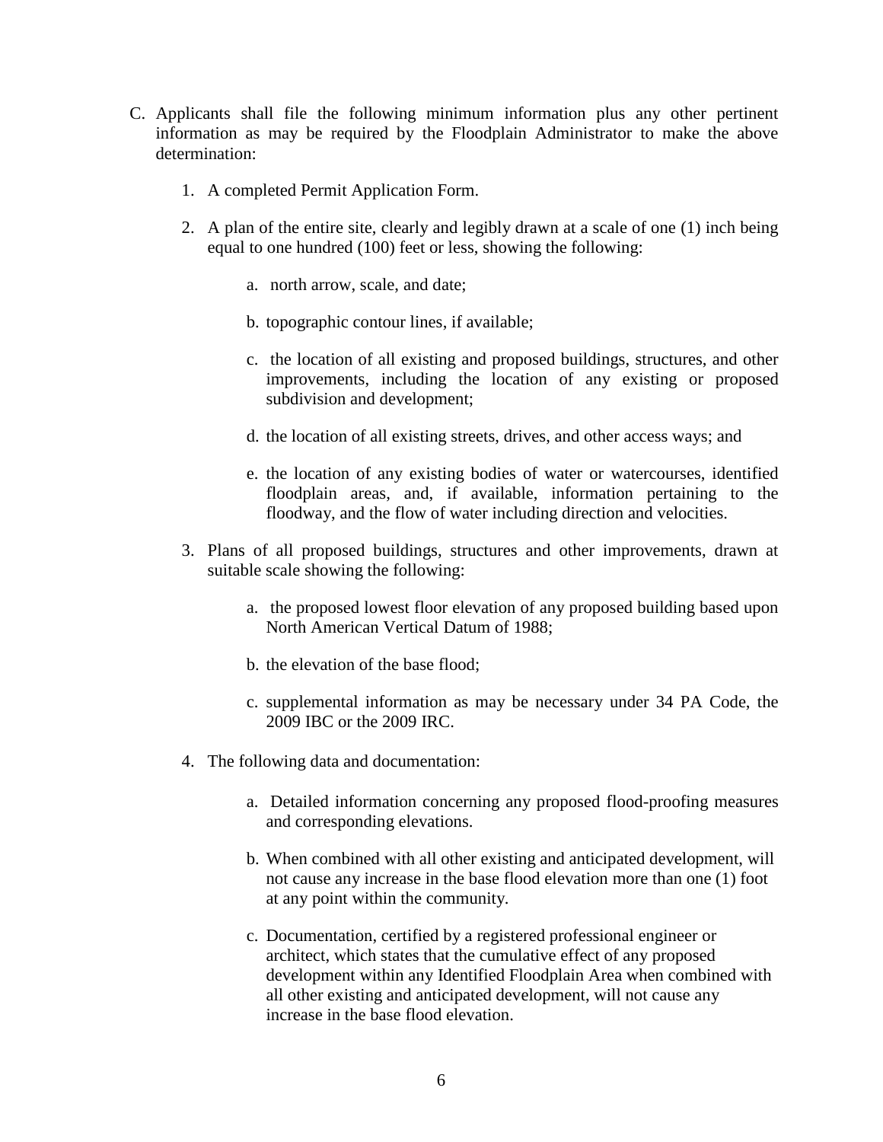- C. Applicants shall file the following minimum information plus any other pertinent information as may be required by the Floodplain Administrator to make the above determination:
	- 1. A completed Permit Application Form.
	- 2. A plan of the entire site, clearly and legibly drawn at a scale of one (1) inch being equal to one hundred (100) feet or less, showing the following:
		- a. north arrow, scale, and date;
		- b. topographic contour lines, if available;
		- c. the location of all existing and proposed buildings, structures, and other improvements, including the location of any existing or proposed subdivision and development;
		- d. the location of all existing streets, drives, and other access ways; and
		- e. the location of any existing bodies of water or watercourses, identified floodplain areas, and, if available, information pertaining to the floodway, and the flow of water including direction and velocities.
	- 3. Plans of all proposed buildings, structures and other improvements, drawn at suitable scale showing the following:
		- a. the proposed lowest floor elevation of any proposed building based upon North American Vertical Datum of 1988;
		- b. the elevation of the base flood;
		- c. supplemental information as may be necessary under 34 PA Code, the 2009 IBC or the 2009 IRC.
	- 4. The following data and documentation:
		- a. Detailed information concerning any proposed flood-proofing measures and corresponding elevations.
		- b. When combined with all other existing and anticipated development, will not cause any increase in the base flood elevation more than one (1) foot at any point within the community.
		- c. Documentation, certified by a registered professional engineer or architect, which states that the cumulative effect of any proposed development within any Identified Floodplain Area when combined with all other existing and anticipated development, will not cause any increase in the base flood elevation.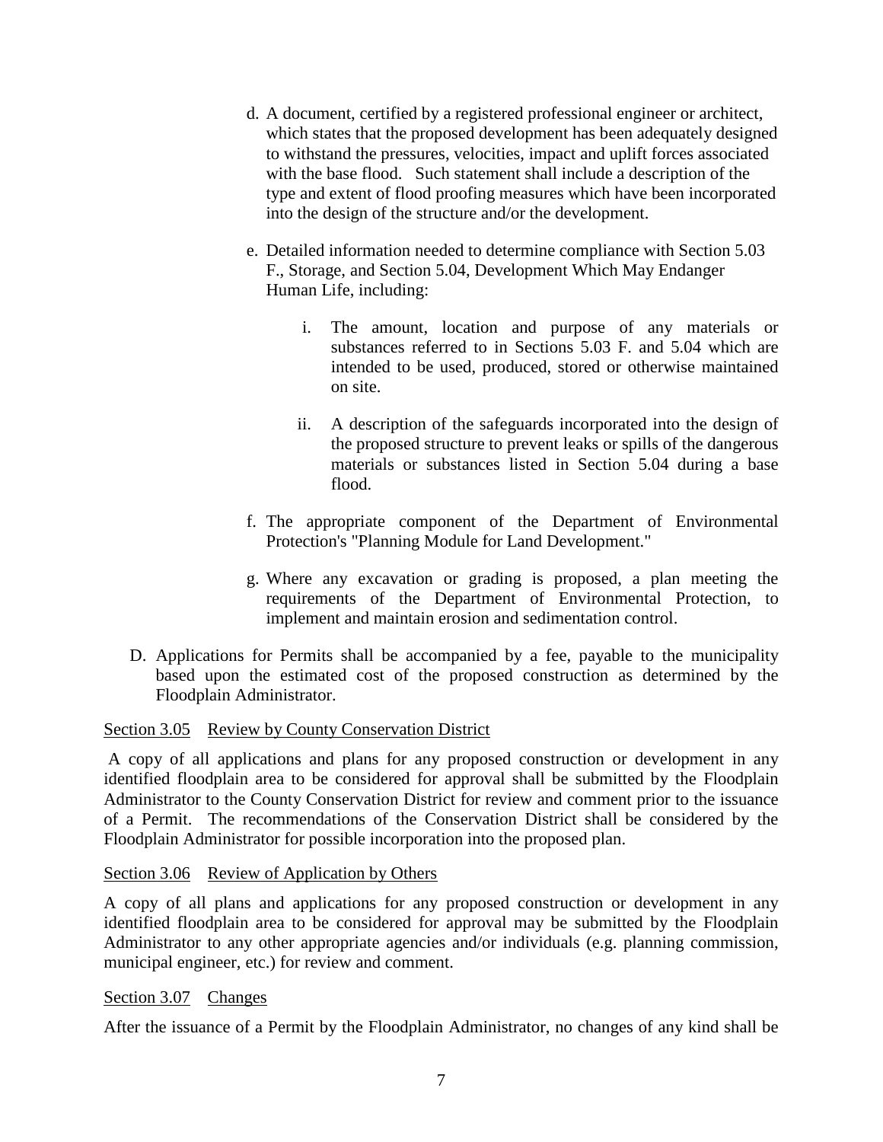- d. A document, certified by a registered professional engineer or architect, which states that the proposed development has been adequately designed to withstand the pressures, velocities, impact and uplift forces associated with the base flood. Such statement shall include a description of the type and extent of flood proofing measures which have been incorporated into the design of the structure and/or the development.
- e. Detailed information needed to determine compliance with Section 5.03 F., Storage, and Section 5.04, Development Which May Endanger Human Life, including:
	- i. The amount, location and purpose of any materials or substances referred to in Sections 5.03 F. and 5.04 which are intended to be used, produced, stored or otherwise maintained on site.
	- ii. A description of the safeguards incorporated into the design of the proposed structure to prevent leaks or spills of the dangerous materials or substances listed in Section 5.04 during a base flood.
- f. The appropriate component of the Department of Environmental Protection's "Planning Module for Land Development."
- g. Where any excavation or grading is proposed, a plan meeting the requirements of the Department of Environmental Protection, to implement and maintain erosion and sedimentation control.
- D. Applications for Permits shall be accompanied by a fee, payable to the municipality based upon the estimated cost of the proposed construction as determined by the Floodplain Administrator.

### Section 3.05 Review by County Conservation District

A copy of all applications and plans for any proposed construction or development in any identified floodplain area to be considered for approval shall be submitted by the Floodplain Administrator to the County Conservation District for review and comment prior to the issuance of a Permit. The recommendations of the Conservation District shall be considered by the Floodplain Administrator for possible incorporation into the proposed plan.

### Section 3.06 Review of Application by Others

A copy of all plans and applications for any proposed construction or development in any identified floodplain area to be considered for approval may be submitted by the Floodplain Administrator to any other appropriate agencies and/or individuals (e.g. planning commission, municipal engineer, etc.) for review and comment.

### Section 3.07 Changes

After the issuance of a Permit by the Floodplain Administrator, no changes of any kind shall be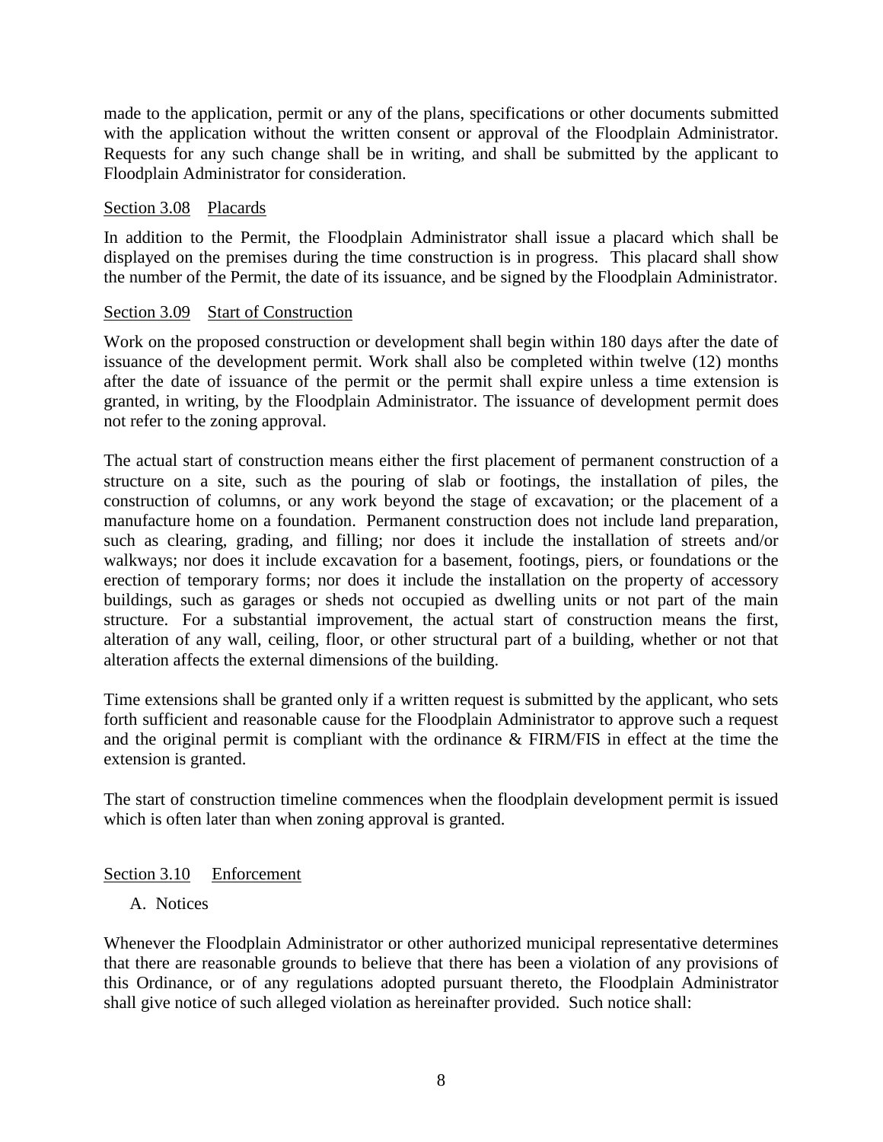made to the application, permit or any of the plans, specifications or other documents submitted with the application without the written consent or approval of the Floodplain Administrator. Requests for any such change shall be in writing, and shall be submitted by the applicant to Floodplain Administrator for consideration.

#### Section 3.08 Placards

In addition to the Permit, the Floodplain Administrator shall issue a placard which shall be displayed on the premises during the time construction is in progress. This placard shall show the number of the Permit, the date of its issuance, and be signed by the Floodplain Administrator.

### Section 3.09 Start of Construction

Work on the proposed construction or development shall begin within 180 days after the date of issuance of the development permit. Work shall also be completed within twelve (12) months after the date of issuance of the permit or the permit shall expire unless a time extension is granted, in writing, by the Floodplain Administrator. The issuance of development permit does not refer to the zoning approval.

The actual start of construction means either the first placement of permanent construction of a structure on a site, such as the pouring of slab or footings, the installation of piles, the construction of columns, or any work beyond the stage of excavation; or the placement of a manufacture home on a foundation. Permanent construction does not include land preparation, such as clearing, grading, and filling; nor does it include the installation of streets and/or walkways; nor does it include excavation for a basement, footings, piers, or foundations or the erection of temporary forms; nor does it include the installation on the property of accessory buildings, such as garages or sheds not occupied as dwelling units or not part of the main structure. For a substantial improvement, the actual start of construction means the first, alteration of any wall, ceiling, floor, or other structural part of a building, whether or not that alteration affects the external dimensions of the building.

Time extensions shall be granted only if a written request is submitted by the applicant, who sets forth sufficient and reasonable cause for the Floodplain Administrator to approve such a request and the original permit is compliant with the ordinance & FIRM/FIS in effect at the time the extension is granted.

The start of construction timeline commences when the floodplain development permit is issued which is often later than when zoning approval is granted.

### Section 3.10 Enforcement

### A. Notices

Whenever the Floodplain Administrator or other authorized municipal representative determines that there are reasonable grounds to believe that there has been a violation of any provisions of this Ordinance, or of any regulations adopted pursuant thereto, the Floodplain Administrator shall give notice of such alleged violation as hereinafter provided. Such notice shall: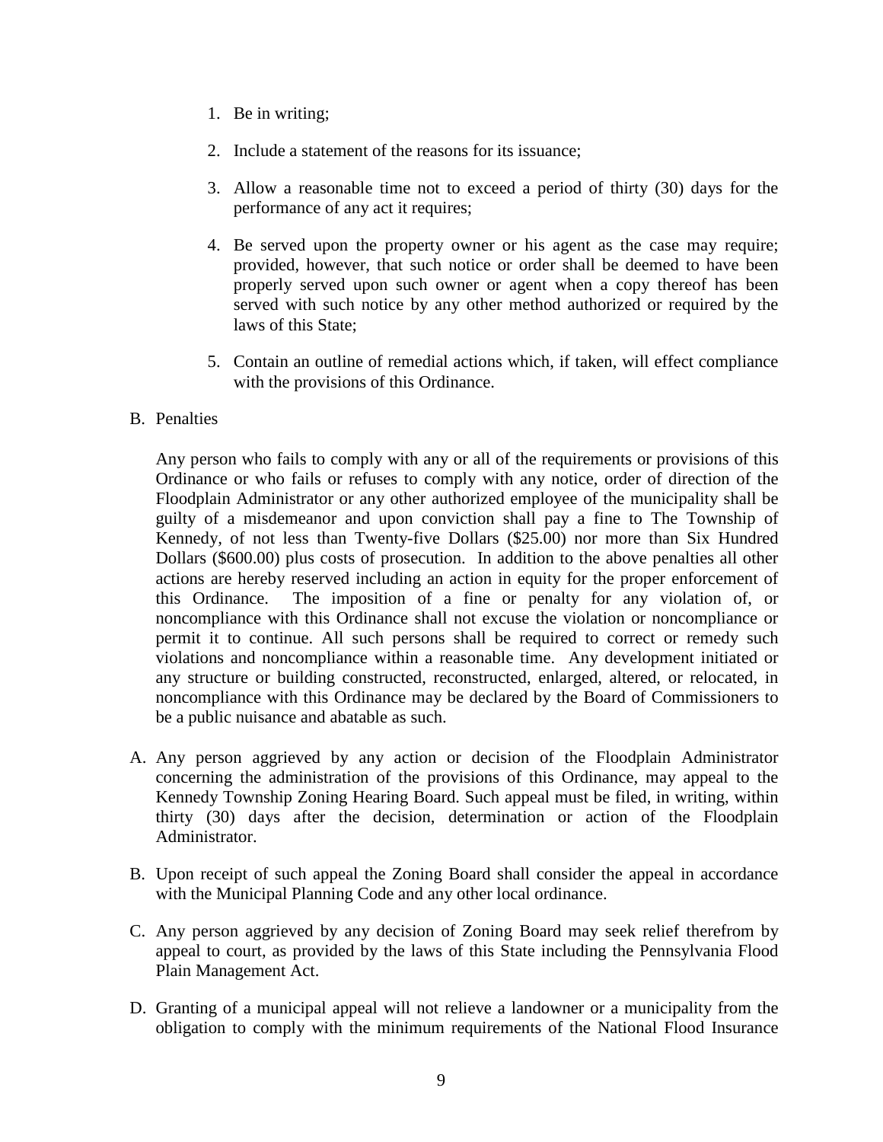- 1. Be in writing;
- 2. Include a statement of the reasons for its issuance;
- 3. Allow a reasonable time not to exceed a period of thirty (30) days for the performance of any act it requires;
- 4. Be served upon the property owner or his agent as the case may require; provided, however, that such notice or order shall be deemed to have been properly served upon such owner or agent when a copy thereof has been served with such notice by any other method authorized or required by the laws of this State;
- 5. Contain an outline of remedial actions which, if taken, will effect compliance with the provisions of this Ordinance.

### B. Penalties

Any person who fails to comply with any or all of the requirements or provisions of this Ordinance or who fails or refuses to comply with any notice, order of direction of the Floodplain Administrator or any other authorized employee of the municipality shall be guilty of a misdemeanor and upon conviction shall pay a fine to The Township of Kennedy*,* of not less than Twenty-five Dollars (\$25.00) nor more than Six Hundred Dollars (\$600.00) plus costs of prosecution. In addition to the above penalties all other actions are hereby reserved including an action in equity for the proper enforcement of this Ordinance. The imposition of a fine or penalty for any violation of, or noncompliance with this Ordinance shall not excuse the violation or noncompliance or permit it to continue. All such persons shall be required to correct or remedy such violations and noncompliance within a reasonable time. Any development initiated or any structure or building constructed, reconstructed, enlarged, altered, or relocated, in noncompliance with this Ordinance may be declared by the Board of Commissioners to be a public nuisance and abatable as such.

- A. Any person aggrieved by any action or decision of the Floodplain Administrator concerning the administration of the provisions of this Ordinance, may appeal to the Kennedy Township Zoning Hearing Board. Such appeal must be filed, in writing, within thirty (30) days after the decision, determination or action of the Floodplain Administrator.
- B. Upon receipt of such appeal the Zoning Board shall consider the appeal in accordance with the Municipal Planning Code and any other local ordinance.
- C. Any person aggrieved by any decision of Zoning Board may seek relief therefrom by appeal to court, as provided by the laws of this State including the Pennsylvania Flood Plain Management Act.
- D. Granting of a municipal appeal will not relieve a landowner or a municipality from the obligation to comply with the minimum requirements of the National Flood Insurance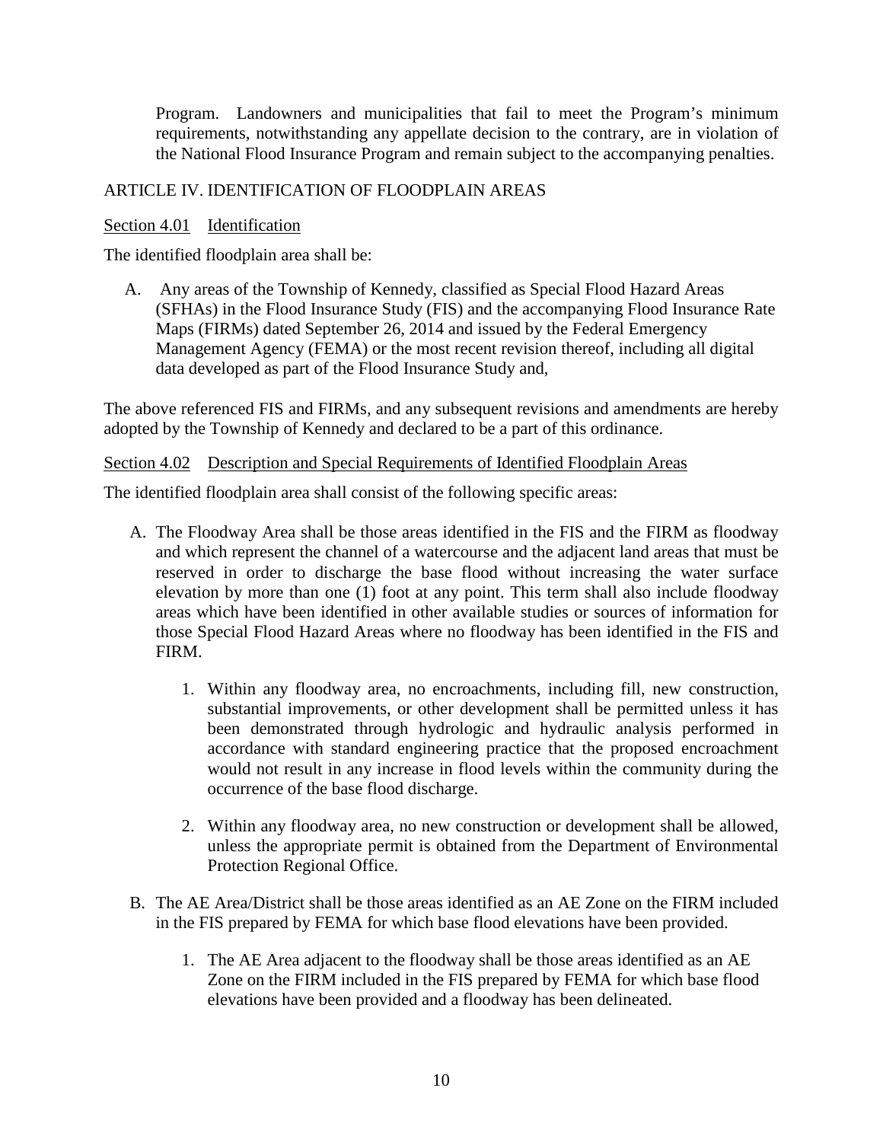Program. Landowners and municipalities that fail to meet the Program's minimum requirements, notwithstanding any appellate decision to the contrary, are in violation of the National Flood Insurance Program and remain subject to the accompanying penalties.

## ARTICLE IV. IDENTIFICATION OF FLOODPLAIN AREAS

### Section 4.01 Identification

The identified floodplain area shall be:

A. Any areas of the Township of Kennedy*,* classified as Special Flood Hazard Areas (SFHAs) in the Flood Insurance Study (FIS) and the accompanying Flood Insurance Rate Maps (FIRMs) dated September 26, 2014 and issued by the Federal Emergency Management Agency (FEMA) or the most recent revision thereof, including all digital data developed as part of the Flood Insurance Study and,

The above referenced FIS and FIRMs, and any subsequent revisions and amendments are hereby adopted by the Township of Kennedy and declared to be a part of this ordinance.

#### Section 4.02 Description and Special Requirements of Identified Floodplain Areas

The identified floodplain area shall consist of the following specific areas:

- A. The Floodway Area shall be those areas identified in the FIS and the FIRM as floodway and which represent the channel of a watercourse and the adjacent land areas that must be reserved in order to discharge the base flood without increasing the water surface elevation by more than one (1) foot at any point. This term shall also include floodway areas which have been identified in other available studies or sources of information for those Special Flood Hazard Areas where no floodway has been identified in the FIS and FIRM.
	- 1. Within any floodway area, no encroachments, including fill, new construction, substantial improvements, or other development shall be permitted unless it has been demonstrated through hydrologic and hydraulic analysis performed in accordance with standard engineering practice that the proposed encroachment would not result in any increase in flood levels within the community during the occurrence of the base flood discharge.
	- 2. Within any floodway area, no new construction or development shall be allowed, unless the appropriate permit is obtained from the Department of Environmental Protection Regional Office.
- B. The AE Area/District shall be those areas identified as an AE Zone on the FIRM included in the FIS prepared by FEMA for which base flood elevations have been provided.
	- 1. The AE Area adjacent to the floodway shall be those areas identified as an AE Zone on the FIRM included in the FIS prepared by FEMA for which base flood elevations have been provided and a floodway has been delineated.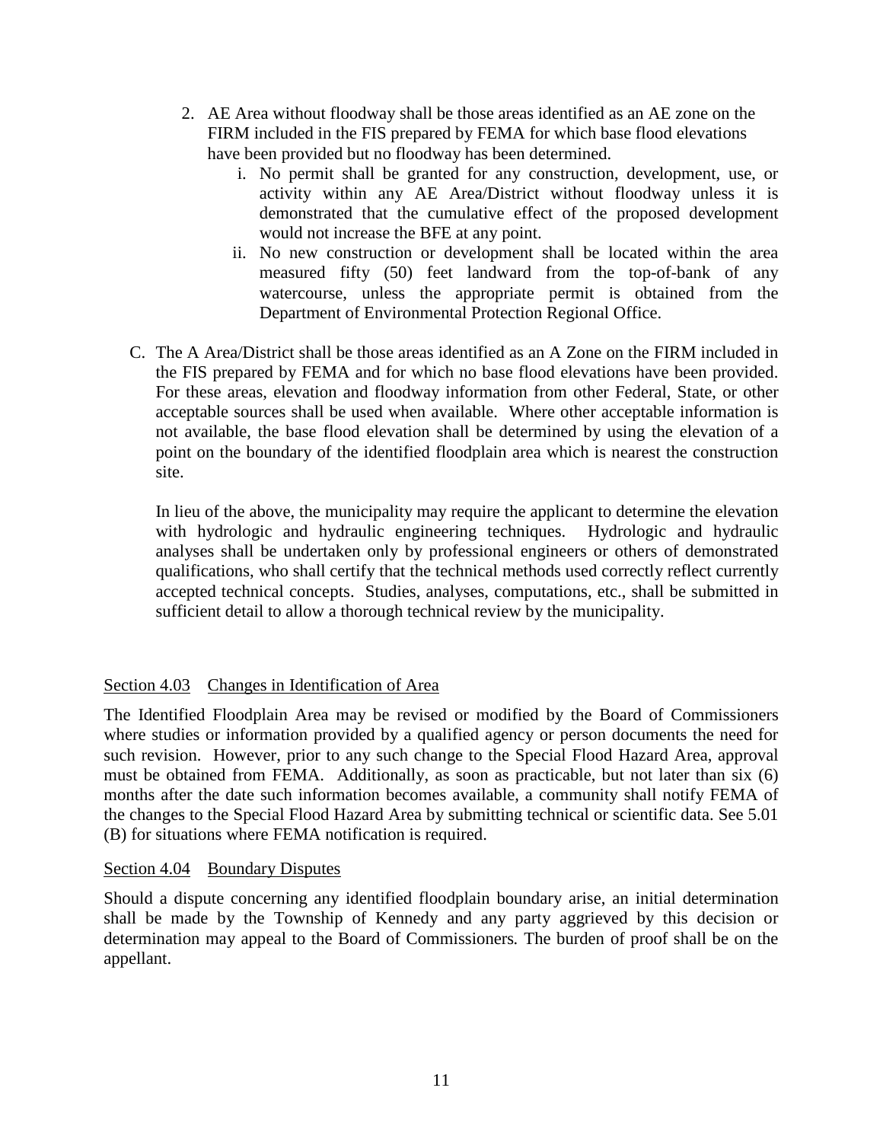- 2. AE Area without floodway shall be those areas identified as an AE zone on the FIRM included in the FIS prepared by FEMA for which base flood elevations have been provided but no floodway has been determined.
	- i. No permit shall be granted for any construction, development, use, or activity within any AE Area/District without floodway unless it is demonstrated that the cumulative effect of the proposed development would not increase the BFE at any point.
	- ii. No new construction or development shall be located within the area measured fifty (50) feet landward from the top-of-bank of any watercourse, unless the appropriate permit is obtained from the Department of Environmental Protection Regional Office.
- C. The A Area/District shall be those areas identified as an A Zone on the FIRM included in the FIS prepared by FEMA and for which no base flood elevations have been provided. For these areas, elevation and floodway information from other Federal, State, or other acceptable sources shall be used when available. Where other acceptable information is not available, the base flood elevation shall be determined by using the elevation of a point on the boundary of the identified floodplain area which is nearest the construction site.

In lieu of the above, the municipality may require the applicant to determine the elevation with hydrologic and hydraulic engineering techniques. Hydrologic and hydraulic analyses shall be undertaken only by professional engineers or others of demonstrated qualifications, who shall certify that the technical methods used correctly reflect currently accepted technical concepts. Studies, analyses, computations, etc., shall be submitted in sufficient detail to allow a thorough technical review by the municipality.

## Section 4.03 Changes in Identification of Area

The Identified Floodplain Area may be revised or modified by the Board of Commissioners where studies or information provided by a qualified agency or person documents the need for such revision. However, prior to any such change to the Special Flood Hazard Area, approval must be obtained from FEMA. Additionally, as soon as practicable, but not later than six (6) months after the date such information becomes available, a community shall notify FEMA of the changes to the Special Flood Hazard Area by submitting technical or scientific data. See 5.01 (B) for situations where FEMA notification is required.

## Section 4.04 Boundary Disputes

Should a dispute concerning any identified floodplain boundary arise, an initial determination shall be made by the Township of Kennedy and any party aggrieved by this decision or determination may appeal to the Board of Commissioners*.* The burden of proof shall be on the appellant.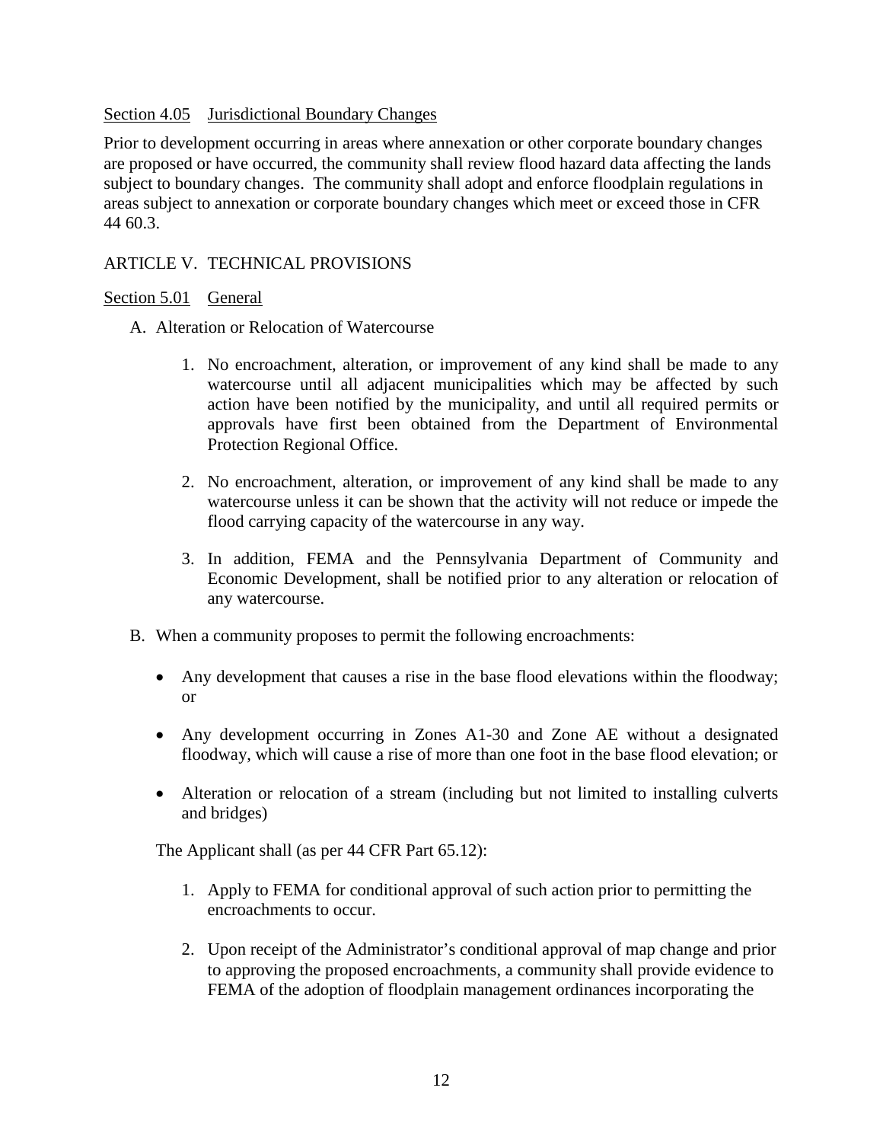### Section 4.05 Jurisdictional Boundary Changes

Prior to development occurring in areas where annexation or other corporate boundary changes are proposed or have occurred, the community shall review flood hazard data affecting the lands subject to boundary changes. The community shall adopt and enforce floodplain regulations in areas subject to annexation or corporate boundary changes which meet or exceed those in CFR 44 60.3.

## ARTICLE V. TECHNICAL PROVISIONS

### Section 5.01 General

- A. Alteration or Relocation of Watercourse
	- 1. No encroachment, alteration, or improvement of any kind shall be made to any watercourse until all adjacent municipalities which may be affected by such action have been notified by the municipality, and until all required permits or approvals have first been obtained from the Department of Environmental Protection Regional Office.
	- 2. No encroachment, alteration, or improvement of any kind shall be made to any watercourse unless it can be shown that the activity will not reduce or impede the flood carrying capacity of the watercourse in any way.
	- 3. In addition, FEMA and the Pennsylvania Department of Community and Economic Development, shall be notified prior to any alteration or relocation of any watercourse.
- B. When a community proposes to permit the following encroachments:
	- Any development that causes a rise in the base flood elevations within the floodway; or
	- Any development occurring in Zones A1-30 and Zone AE without a designated floodway, which will cause a rise of more than one foot in the base flood elevation; or
	- Alteration or relocation of a stream (including but not limited to installing culverts and bridges)

The Applicant shall (as per 44 CFR Part 65.12):

- 1. Apply to FEMA for conditional approval of such action prior to permitting the encroachments to occur.
- 2. Upon receipt of the Administrator's conditional approval of map change and prior to approving the proposed encroachments, a community shall provide evidence to FEMA of the adoption of floodplain management ordinances incorporating the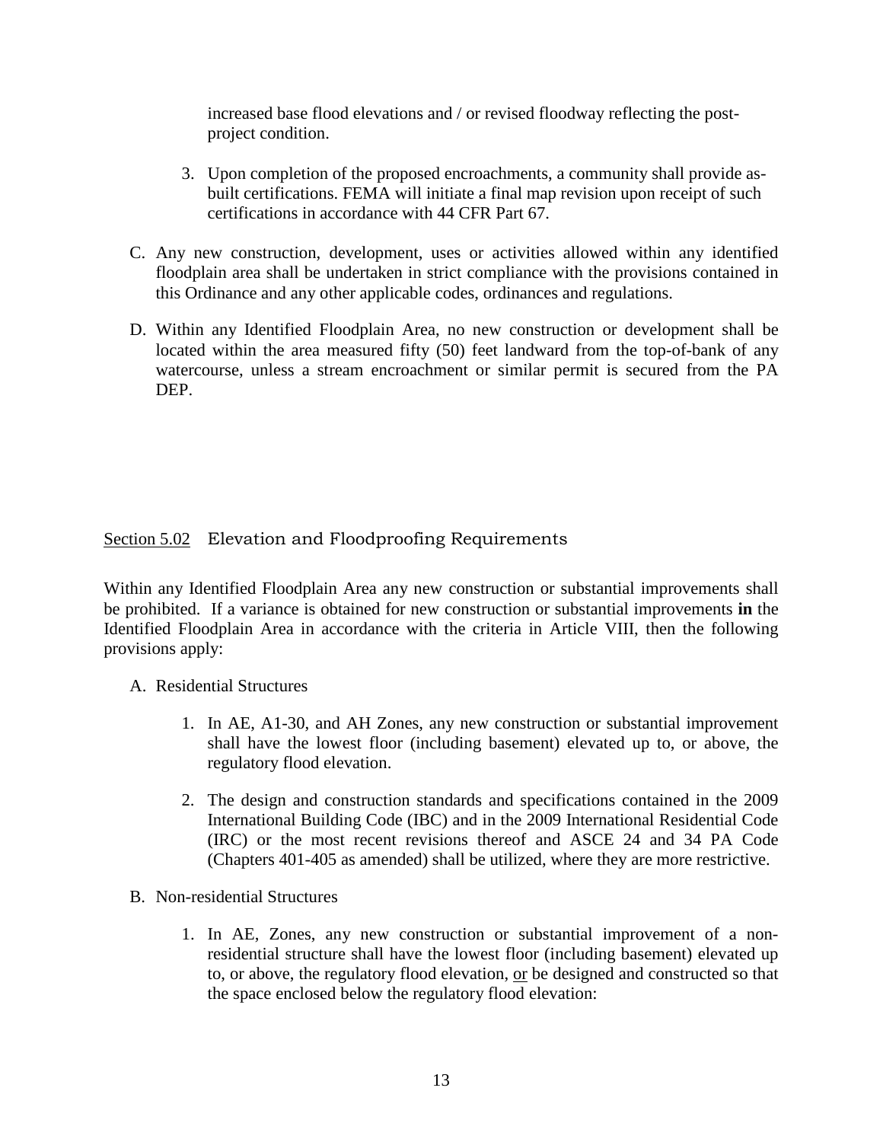increased base flood elevations and / or revised floodway reflecting the postproject condition.

- 3. Upon completion of the proposed encroachments, a community shall provide asbuilt certifications. FEMA will initiate a final map revision upon receipt of such certifications in accordance with 44 CFR Part 67.
- C. Any new construction, development, uses or activities allowed within any identified floodplain area shall be undertaken in strict compliance with the provisions contained in this Ordinance and any other applicable codes, ordinances and regulations.
- D. Within any Identified Floodplain Area, no new construction or development shall be located within the area measured fifty (50) feet landward from the top-of-bank of any watercourse, unless a stream encroachment or similar permit is secured from the PA DEP.

# Section 5.02 Elevation and Floodproofing Requirements

Within any Identified Floodplain Area any new construction or substantial improvements shall be prohibited. If a variance is obtained for new construction or substantial improvements **in** the Identified Floodplain Area in accordance with the criteria in Article VIII, then the following provisions apply:

### A. Residential Structures

- 1. In AE, A1-30, and AH Zones, any new construction or substantial improvement shall have the lowest floor (including basement) elevated up to, or above, the regulatory flood elevation.
- 2. The design and construction standards and specifications contained in the 2009 International Building Code (IBC) and in the 2009 International Residential Code (IRC) or the most recent revisions thereof and ASCE 24 and 34 PA Code (Chapters 401-405 as amended) shall be utilized, where they are more restrictive.
- B. Non-residential Structures
	- 1. In AE, Zones, any new construction or substantial improvement of a nonresidential structure shall have the lowest floor (including basement) elevated up to, or above, the regulatory flood elevation, or be designed and constructed so that the space enclosed below the regulatory flood elevation: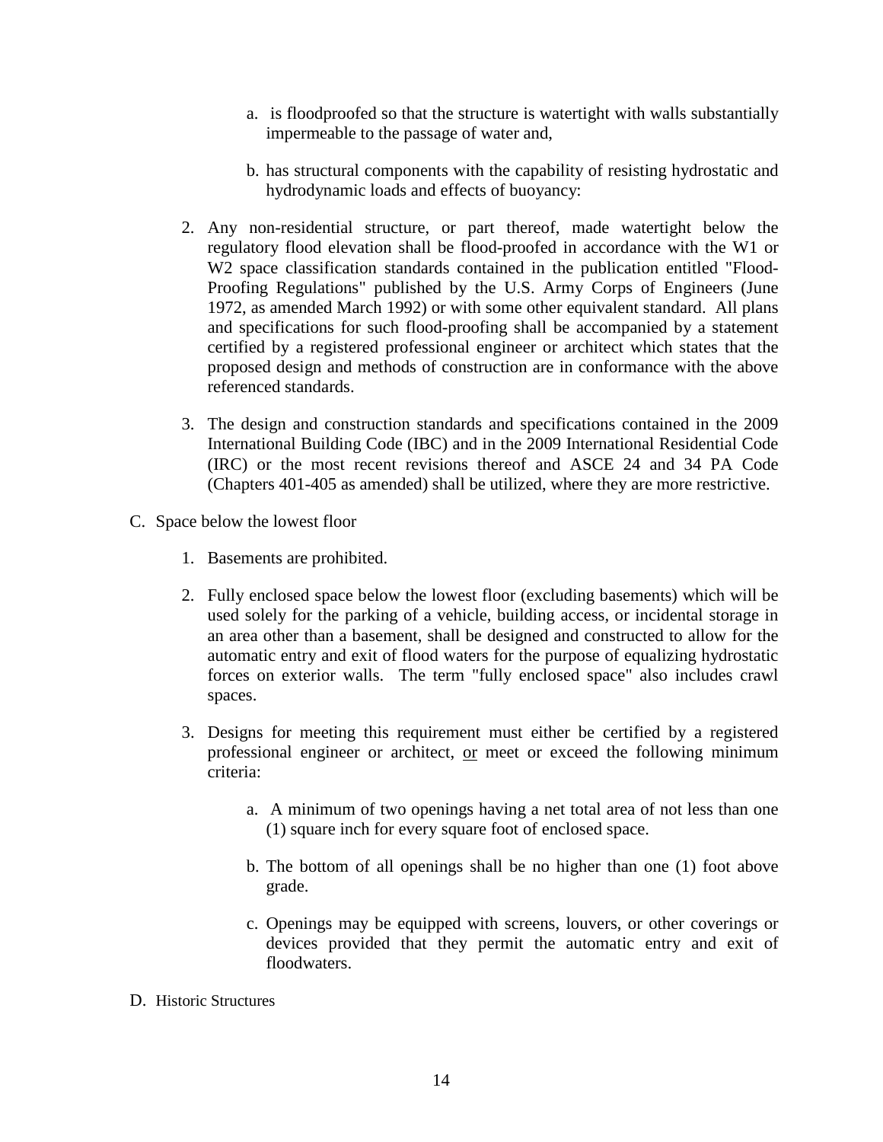- a. is floodproofed so that the structure is watertight with walls substantially impermeable to the passage of water and,
- b. has structural components with the capability of resisting hydrostatic and hydrodynamic loads and effects of buoyancy:
- 2. Any non-residential structure, or part thereof, made watertight below the regulatory flood elevation shall be flood-proofed in accordance with the W1 or W2 space classification standards contained in the publication entitled "Flood-Proofing Regulations" published by the U.S. Army Corps of Engineers (June 1972, as amended March 1992) or with some other equivalent standard. All plans and specifications for such flood-proofing shall be accompanied by a statement certified by a registered professional engineer or architect which states that the proposed design and methods of construction are in conformance with the above referenced standards.
- 3. The design and construction standards and specifications contained in the 2009 International Building Code (IBC) and in the 2009 International Residential Code (IRC) or the most recent revisions thereof and ASCE 24 and 34 PA Code (Chapters 401-405 as amended) shall be utilized, where they are more restrictive.
- C. Space below the lowest floor
	- 1. Basements are prohibited.
	- 2. Fully enclosed space below the lowest floor (excluding basements) which will be used solely for the parking of a vehicle, building access, or incidental storage in an area other than a basement, shall be designed and constructed to allow for the automatic entry and exit of flood waters for the purpose of equalizing hydrostatic forces on exterior walls. The term "fully enclosed space" also includes crawl spaces.
	- 3. Designs for meeting this requirement must either be certified by a registered professional engineer or architect, or meet or exceed the following minimum criteria:
		- a. A minimum of two openings having a net total area of not less than one (1) square inch for every square foot of enclosed space.
		- b. The bottom of all openings shall be no higher than one (1) foot above grade.
		- c. Openings may be equipped with screens, louvers, or other coverings or devices provided that they permit the automatic entry and exit of floodwaters.
- D. Historic Structures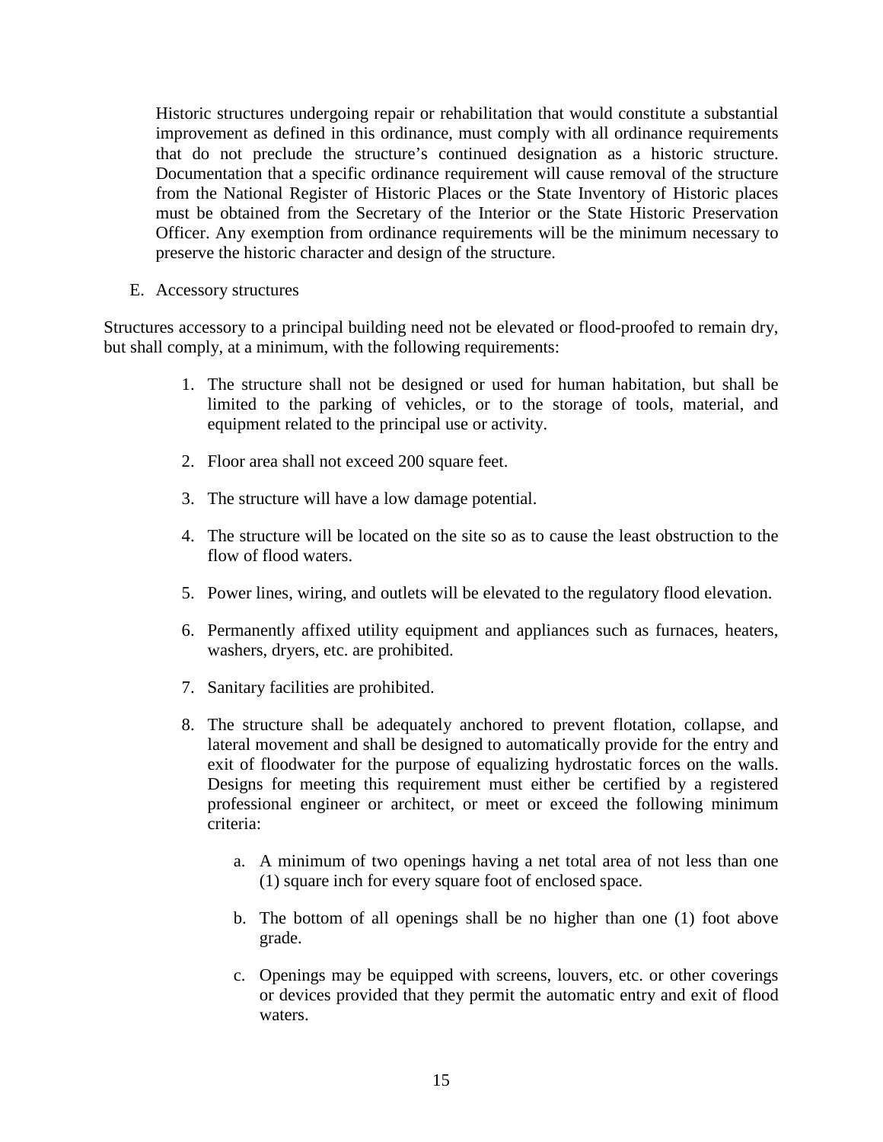Historic structures undergoing repair or rehabilitation that would constitute a substantial improvement as defined in this ordinance, must comply with all ordinance requirements that do not preclude the structure's continued designation as a historic structure. Documentation that a specific ordinance requirement will cause removal of the structure from the National Register of Historic Places or the State Inventory of Historic places must be obtained from the Secretary of the Interior or the State Historic Preservation Officer. Any exemption from ordinance requirements will be the minimum necessary to preserve the historic character and design of the structure.

E. Accessory structures

Structures accessory to a principal building need not be elevated or flood-proofed to remain dry, but shall comply, at a minimum, with the following requirements:

- 1. The structure shall not be designed or used for human habitation, but shall be limited to the parking of vehicles, or to the storage of tools, material, and equipment related to the principal use or activity.
- 2. Floor area shall not exceed 200 square feet.
- 3. The structure will have a low damage potential.
- 4. The structure will be located on the site so as to cause the least obstruction to the flow of flood waters.
- 5. Power lines, wiring, and outlets will be elevated to the regulatory flood elevation.
- 6. Permanently affixed utility equipment and appliances such as furnaces, heaters, washers, dryers, etc. are prohibited.
- 7. Sanitary facilities are prohibited.
- 8. The structure shall be adequately anchored to prevent flotation, collapse, and lateral movement and shall be designed to automatically provide for the entry and exit of floodwater for the purpose of equalizing hydrostatic forces on the walls. Designs for meeting this requirement must either be certified by a registered professional engineer or architect, or meet or exceed the following minimum criteria:
	- a. A minimum of two openings having a net total area of not less than one (1) square inch for every square foot of enclosed space.
	- b. The bottom of all openings shall be no higher than one (1) foot above grade.
	- c. Openings may be equipped with screens, louvers, etc. or other coverings or devices provided that they permit the automatic entry and exit of flood waters.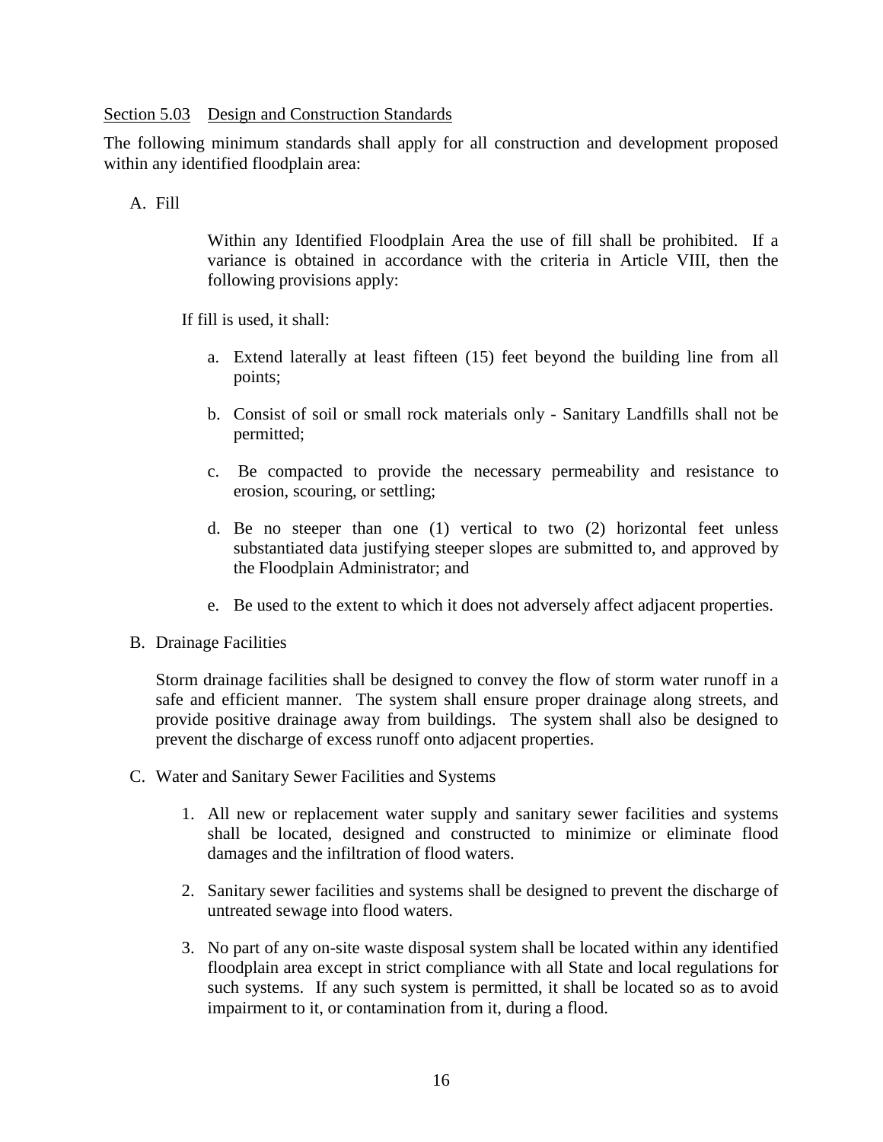### Section 5.03 Design and Construction Standards

The following minimum standards shall apply for all construction and development proposed within any identified floodplain area:

### A. Fill

Within any Identified Floodplain Area the use of fill shall be prohibited. If a variance is obtained in accordance with the criteria in Article VIII, then the following provisions apply:

If fill is used, it shall:

- a. Extend laterally at least fifteen (15) feet beyond the building line from all points;
- b. Consist of soil or small rock materials only Sanitary Landfills shall not be permitted;
- c. Be compacted to provide the necessary permeability and resistance to erosion, scouring, or settling;
- d. Be no steeper than one (1) vertical to two (2) horizontal feet unless substantiated data justifying steeper slopes are submitted to, and approved by the Floodplain Administrator; and
- e. Be used to the extent to which it does not adversely affect adjacent properties.
- B. Drainage Facilities

Storm drainage facilities shall be designed to convey the flow of storm water runoff in a safe and efficient manner. The system shall ensure proper drainage along streets, and provide positive drainage away from buildings. The system shall also be designed to prevent the discharge of excess runoff onto adjacent properties.

- C. Water and Sanitary Sewer Facilities and Systems
	- 1. All new or replacement water supply and sanitary sewer facilities and systems shall be located, designed and constructed to minimize or eliminate flood damages and the infiltration of flood waters.
	- 2. Sanitary sewer facilities and systems shall be designed to prevent the discharge of untreated sewage into flood waters.
	- 3. No part of any on-site waste disposal system shall be located within any identified floodplain area except in strict compliance with all State and local regulations for such systems. If any such system is permitted, it shall be located so as to avoid impairment to it, or contamination from it, during a flood.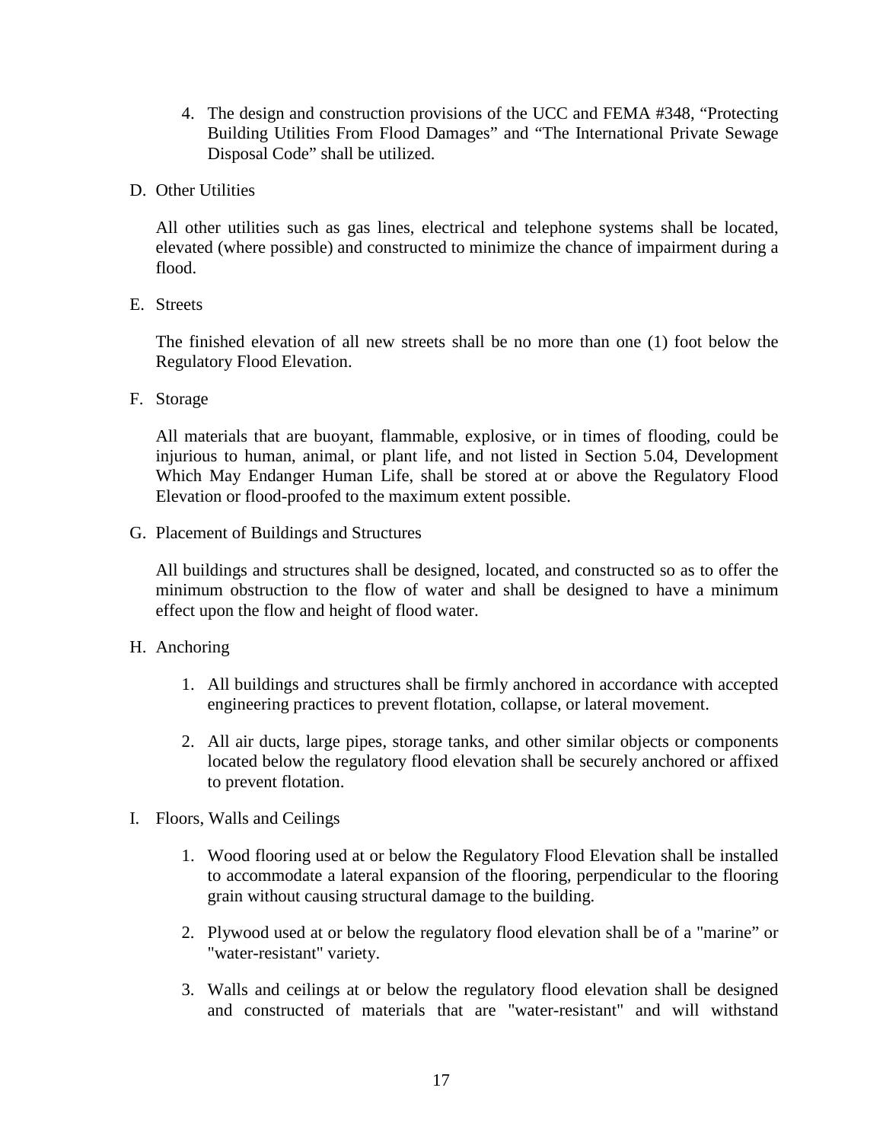- 4. The design and construction provisions of the UCC and FEMA #348, "Protecting Building Utilities From Flood Damages" and "The International Private Sewage Disposal Code" shall be utilized.
- D. Other Utilities

All other utilities such as gas lines, electrical and telephone systems shall be located, elevated (where possible) and constructed to minimize the chance of impairment during a flood.

E. Streets

The finished elevation of all new streets shall be no more than one (1) foot below the Regulatory Flood Elevation.

F. Storage

All materials that are buoyant, flammable, explosive, or in times of flooding, could be injurious to human, animal, or plant life, and not listed in Section 5.04, Development Which May Endanger Human Life, shall be stored at or above the Regulatory Flood Elevation or flood-proofed to the maximum extent possible.

G. Placement of Buildings and Structures

All buildings and structures shall be designed, located, and constructed so as to offer the minimum obstruction to the flow of water and shall be designed to have a minimum effect upon the flow and height of flood water.

- H. Anchoring
	- 1. All buildings and structures shall be firmly anchored in accordance with accepted engineering practices to prevent flotation, collapse, or lateral movement.
	- 2. All air ducts, large pipes, storage tanks, and other similar objects or components located below the regulatory flood elevation shall be securely anchored or affixed to prevent flotation.
- I. Floors, Walls and Ceilings
	- 1. Wood flooring used at or below the Regulatory Flood Elevation shall be installed to accommodate a lateral expansion of the flooring, perpendicular to the flooring grain without causing structural damage to the building.
	- 2. Plywood used at or below the regulatory flood elevation shall be of a "marine" or "water-resistant" variety.
	- 3. Walls and ceilings at or below the regulatory flood elevation shall be designed and constructed of materials that are "water-resistant" and will withstand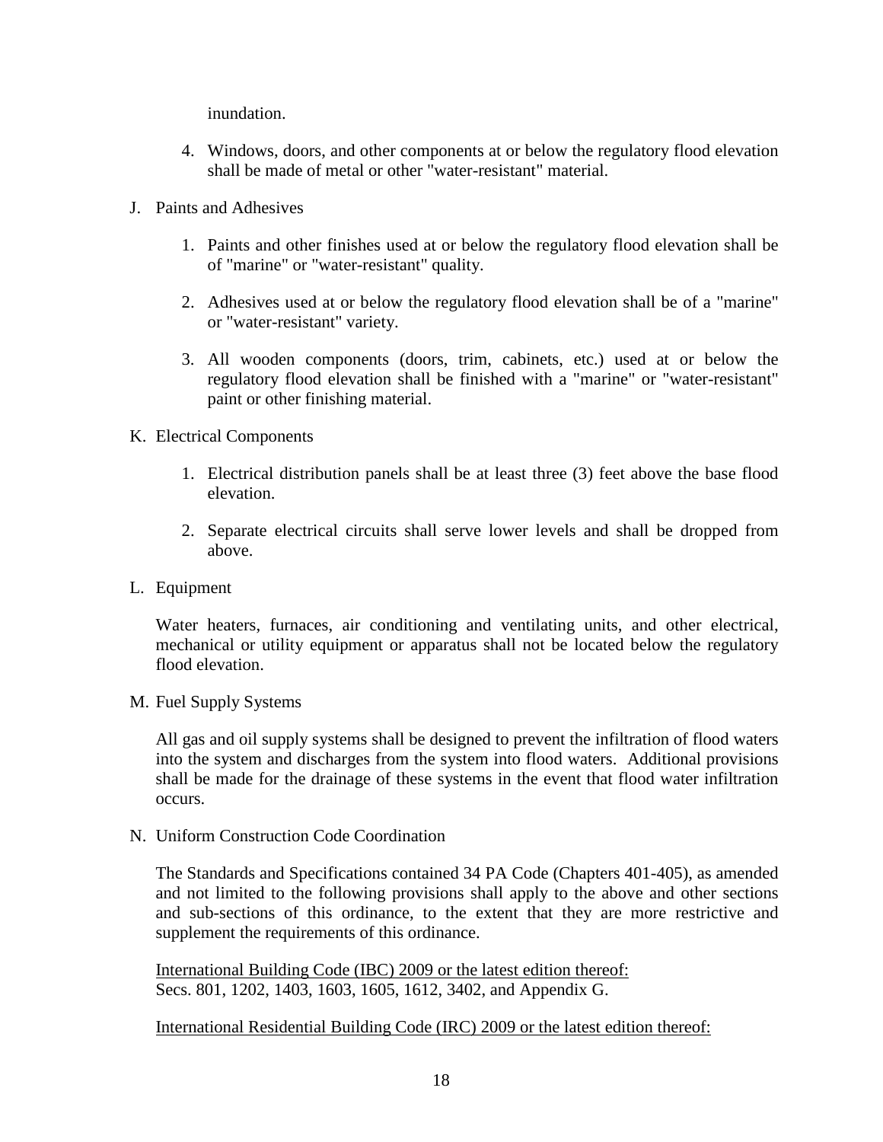inundation.

- 4. Windows, doors, and other components at or below the regulatory flood elevation shall be made of metal or other "water-resistant" material.
- J. Paints and Adhesives
	- 1. Paints and other finishes used at or below the regulatory flood elevation shall be of "marine" or "water-resistant" quality.
	- 2. Adhesives used at or below the regulatory flood elevation shall be of a "marine" or "water-resistant" variety.
	- 3. All wooden components (doors, trim, cabinets, etc.) used at or below the regulatory flood elevation shall be finished with a "marine" or "water-resistant" paint or other finishing material.
- K. Electrical Components
	- 1. Electrical distribution panels shall be at least three (3) feet above the base flood elevation.
	- 2. Separate electrical circuits shall serve lower levels and shall be dropped from above.
- L. Equipment

Water heaters, furnaces, air conditioning and ventilating units, and other electrical, mechanical or utility equipment or apparatus shall not be located below the regulatory flood elevation.

M. Fuel Supply Systems

All gas and oil supply systems shall be designed to prevent the infiltration of flood waters into the system and discharges from the system into flood waters. Additional provisions shall be made for the drainage of these systems in the event that flood water infiltration occurs.

N. Uniform Construction Code Coordination

The Standards and Specifications contained 34 PA Code (Chapters 401-405), as amended and not limited to the following provisions shall apply to the above and other sections and sub-sections of this ordinance, to the extent that they are more restrictive and supplement the requirements of this ordinance.

International Building Code (IBC) 2009 or the latest edition thereof: Secs. 801, 1202, 1403, 1603, 1605, 1612, 3402, and Appendix G.

International Residential Building Code (IRC) 2009 or the latest edition thereof: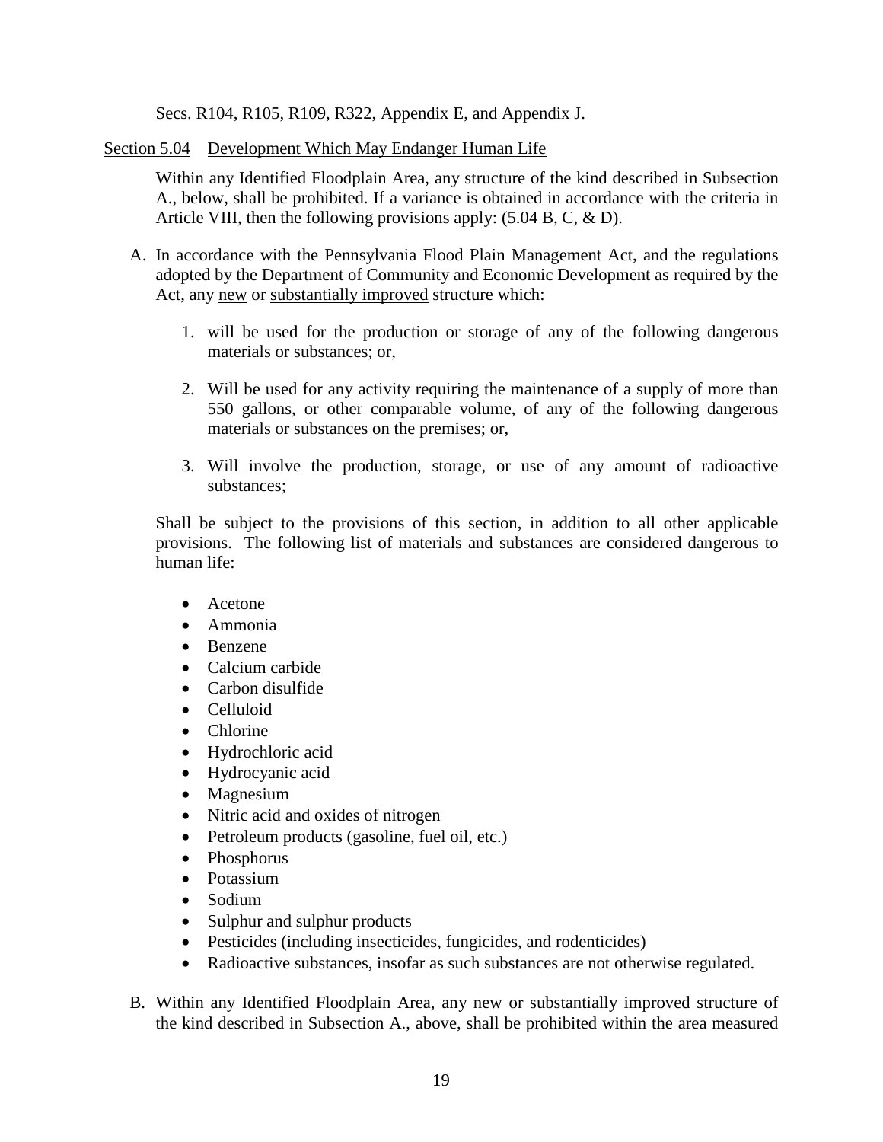Secs. R104, R105, R109, R322, Appendix E, and Appendix J.

Section 5.04 Development Which May Endanger Human Life

Within any Identified Floodplain Area, any structure of the kind described in Subsection A., below, shall be prohibited. If a variance is obtained in accordance with the criteria in Article VIII, then the following provisions apply: (5.04 B, C, & D).

- A. In accordance with the Pennsylvania Flood Plain Management Act, and the regulations adopted by the Department of Community and Economic Development as required by the Act, any new or substantially improved structure which:
	- 1. will be used for the production or storage of any of the following dangerous materials or substances; or,
	- 2. Will be used for any activity requiring the maintenance of a supply of more than 550 gallons, or other comparable volume, of any of the following dangerous materials or substances on the premises; or,
	- 3. Will involve the production, storage, or use of any amount of radioactive substances;

Shall be subject to the provisions of this section, in addition to all other applicable provisions. The following list of materials and substances are considered dangerous to human life:

- Acetone
- Ammonia
- Benzene
- Calcium carbide
- Carbon disulfide
- Celluloid
- Chlorine
- Hydrochloric acid
- Hydrocyanic acid
- Magnesium
- Nitric acid and oxides of nitrogen
- Petroleum products (gasoline, fuel oil, etc.)
- Phosphorus
- Potassium
- Sodium
- Sulphur and sulphur products
- Pesticides (including insecticides, fungicides, and rodenticides)
- Radioactive substances, insofar as such substances are not otherwise regulated.
- B. Within any Identified Floodplain Area, any new or substantially improved structure of the kind described in Subsection A., above, shall be prohibited within the area measured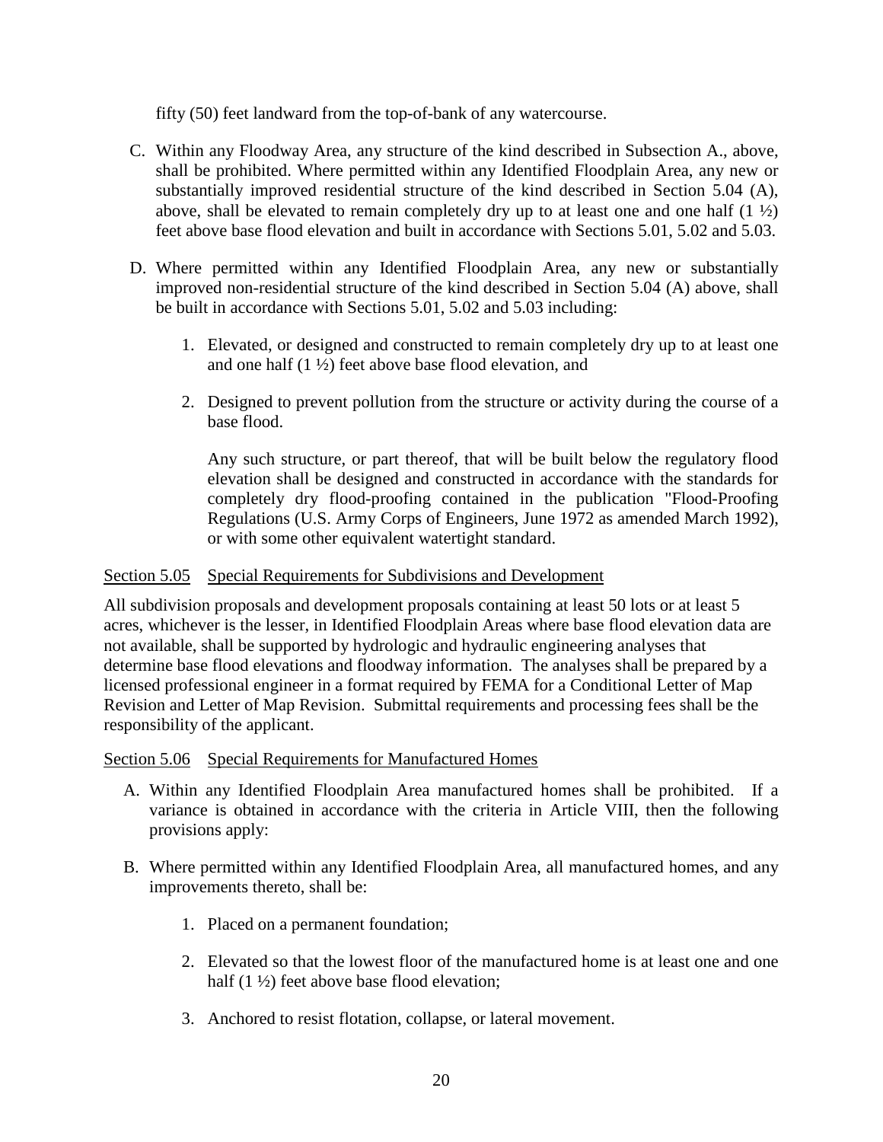fifty (50) feet landward from the top-of-bank of any watercourse.

- C. Within any Floodway Area, any structure of the kind described in Subsection A., above, shall be prohibited. Where permitted within any Identified Floodplain Area, any new or substantially improved residential structure of the kind described in Section 5.04 (A), above, shall be elevated to remain completely dry up to at least one and one half  $(1 \frac{1}{2})$ feet above base flood elevation and built in accordance with Sections 5.01, 5.02 and 5.03.
- D. Where permitted within any Identified Floodplain Area, any new or substantially improved non-residential structure of the kind described in Section 5.04 (A) above, shall be built in accordance with Sections 5.01, 5.02 and 5.03 including:
	- 1. Elevated, or designed and constructed to remain completely dry up to at least one and one half (1 ½) feet above base flood elevation, and
	- 2. Designed to prevent pollution from the structure or activity during the course of a base flood.

Any such structure, or part thereof, that will be built below the regulatory flood elevation shall be designed and constructed in accordance with the standards for completely dry flood-proofing contained in the publication "Flood-Proofing Regulations (U.S. Army Corps of Engineers, June 1972 as amended March 1992), or with some other equivalent watertight standard.

### Section 5.05 Special Requirements for Subdivisions and Development

All subdivision proposals and development proposals containing at least 50 lots or at least 5 acres, whichever is the lesser, in Identified Floodplain Areas where base flood elevation data are not available, shall be supported by hydrologic and hydraulic engineering analyses that determine base flood elevations and floodway information. The analyses shall be prepared by a licensed professional engineer in a format required by FEMA for a Conditional Letter of Map Revision and Letter of Map Revision. Submittal requirements and processing fees shall be the responsibility of the applicant.

### Section 5.06 Special Requirements for Manufactured Homes

- A. Within any Identified Floodplain Area manufactured homes shall be prohibited. If a variance is obtained in accordance with the criteria in Article VIII, then the following provisions apply:
- B. Where permitted within any Identified Floodplain Area, all manufactured homes, and any improvements thereto, shall be:
	- 1. Placed on a permanent foundation;
	- 2. Elevated so that the lowest floor of the manufactured home is at least one and one half (1  $\frac{1}{2}$ ) feet above base flood elevation;
	- 3. Anchored to resist flotation, collapse, or lateral movement.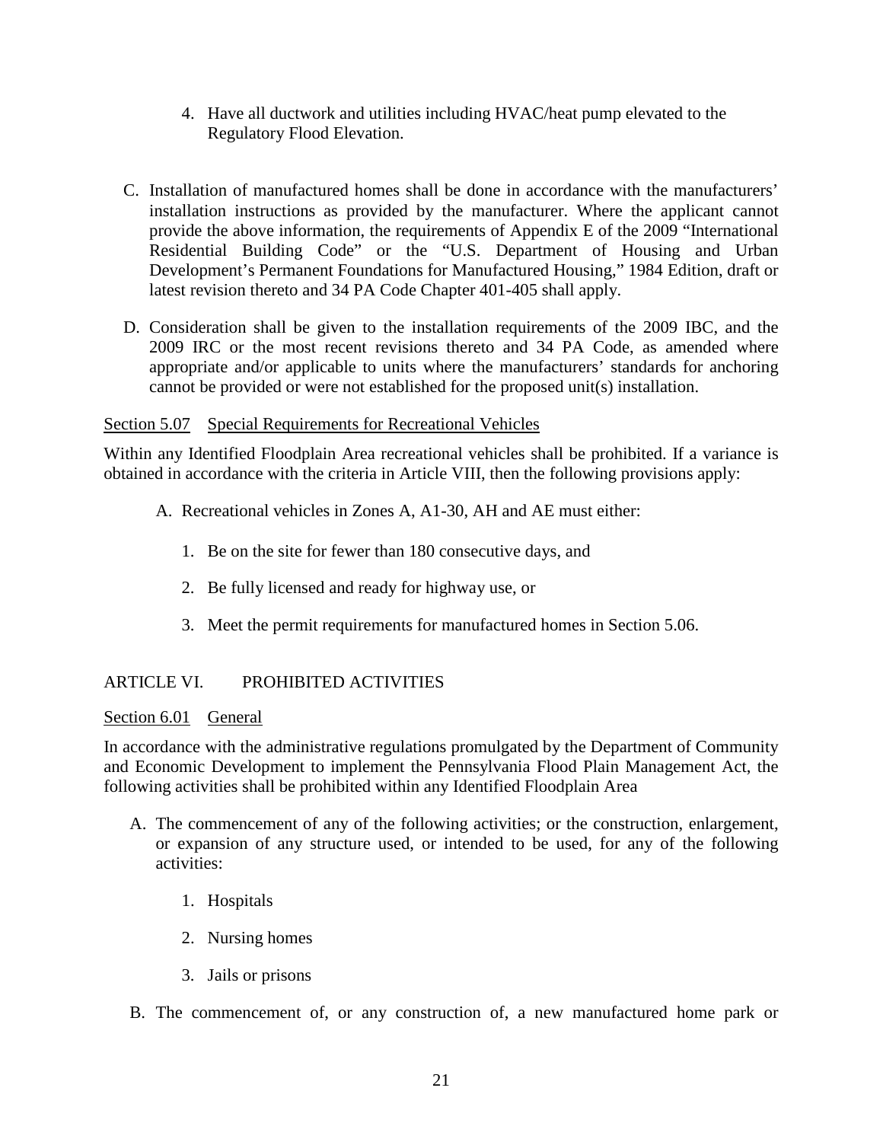- 4. Have all ductwork and utilities including HVAC/heat pump elevated to the Regulatory Flood Elevation.
- C. Installation of manufactured homes shall be done in accordance with the manufacturers' installation instructions as provided by the manufacturer. Where the applicant cannot provide the above information, the requirements of Appendix E of the 2009 "International Residential Building Code" or the "U.S. Department of Housing and Urban Development's Permanent Foundations for Manufactured Housing," 1984 Edition, draft or latest revision thereto and 34 PA Code Chapter 401-405 shall apply.
- D. Consideration shall be given to the installation requirements of the 2009 IBC, and the 2009 IRC or the most recent revisions thereto and 34 PA Code, as amended where appropriate and/or applicable to units where the manufacturers' standards for anchoring cannot be provided or were not established for the proposed unit(s) installation.

### Section 5.07 Special Requirements for Recreational Vehicles

Within any Identified Floodplain Area recreational vehicles shall be prohibited. If a variance is obtained in accordance with the criteria in Article VIII, then the following provisions apply:

- A. Recreational vehicles in Zones A, A1-30, AH and AE must either:
	- 1. Be on the site for fewer than 180 consecutive days, and
	- 2. Be fully licensed and ready for highway use, or
	- 3. Meet the permit requirements for manufactured homes in Section 5.06.

## ARTICLE VI. PROHIBITED ACTIVITIES

### Section 6.01 General

In accordance with the administrative regulations promulgated by the Department of Community and Economic Development to implement the Pennsylvania Flood Plain Management Act, the following activities shall be prohibited within any Identified Floodplain Area

- A. The commencement of any of the following activities; or the construction, enlargement, or expansion of any structure used, or intended to be used, for any of the following activities:
	- 1. Hospitals
	- 2. Nursing homes
	- 3. Jails or prisons
- B. The commencement of, or any construction of, a new manufactured home park or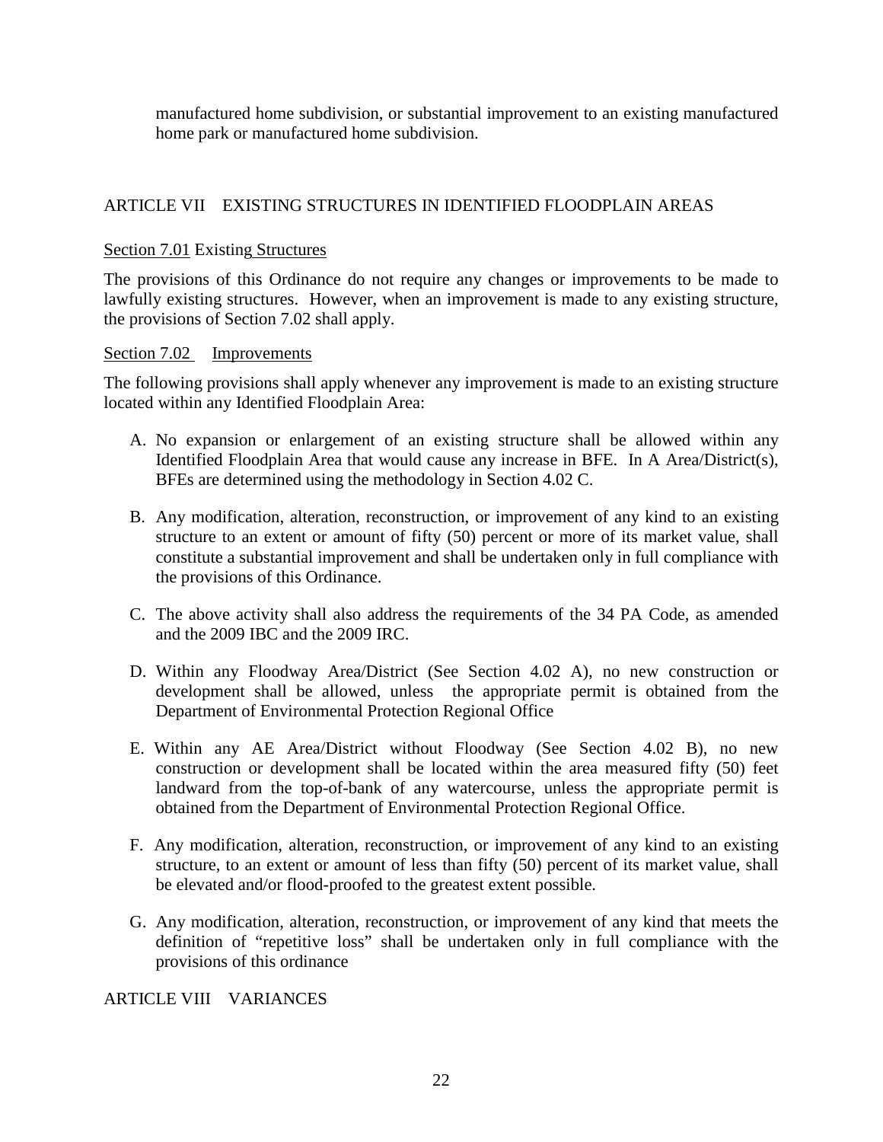manufactured home subdivision, or substantial improvement to an existing manufactured home park or manufactured home subdivision.

## ARTICLE VII EXISTING STRUCTURES IN IDENTIFIED FLOODPLAIN AREAS

### Section 7.01 Existing Structures

The provisions of this Ordinance do not require any changes or improvements to be made to lawfully existing structures. However, when an improvement is made to any existing structure, the provisions of Section 7.02 shall apply.

#### Section 7.02 Improvements

The following provisions shall apply whenever any improvement is made to an existing structure located within any Identified Floodplain Area:

- A. No expansion or enlargement of an existing structure shall be allowed within any Identified Floodplain Area that would cause any increase in BFE. In A Area/District(s), BFEs are determined using the methodology in Section 4.02 C.
- B. Any modification, alteration, reconstruction, or improvement of any kind to an existing structure to an extent or amount of fifty (50) percent or more of its market value, shall constitute a substantial improvement and shall be undertaken only in full compliance with the provisions of this Ordinance.
- C. The above activity shall also address the requirements of the 34 PA Code, as amended and the 2009 IBC and the 2009 IRC.
- D. Within any Floodway Area/District (See Section 4.02 A), no new construction or development shall be allowed, unless the appropriate permit is obtained from the Department of Environmental Protection Regional Office
- E. Within any AE Area/District without Floodway (See Section 4.02 B), no new construction or development shall be located within the area measured fifty (50) feet landward from the top-of-bank of any watercourse, unless the appropriate permit is obtained from the Department of Environmental Protection Regional Office.
- F. Any modification, alteration, reconstruction, or improvement of any kind to an existing structure, to an extent or amount of less than fifty (50) percent of its market value, shall be elevated and/or flood-proofed to the greatest extent possible.
- G. Any modification, alteration, reconstruction, or improvement of any kind that meets the definition of "repetitive loss" shall be undertaken only in full compliance with the provisions of this ordinance

ARTICLE VIII VARIANCES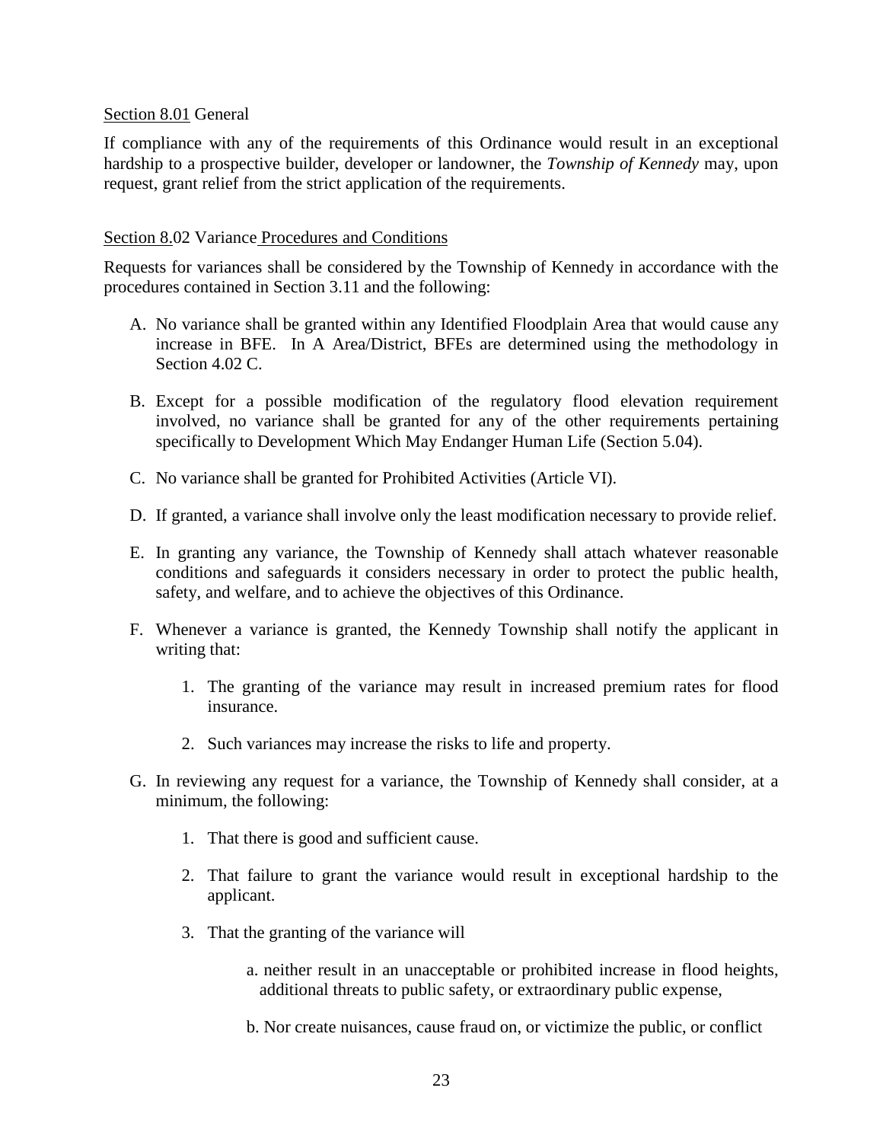### Section 8.01 General

If compliance with any of the requirements of this Ordinance would result in an exceptional hardship to a prospective builder, developer or landowner, the *Township of Kennedy* may, upon request, grant relief from the strict application of the requirements.

### Section 8.02 Variance Procedures and Conditions

Requests for variances shall be considered by the Township of Kennedy in accordance with the procedures contained in Section 3.11 and the following:

- A. No variance shall be granted within any Identified Floodplain Area that would cause any increase in BFE. In A Area/District, BFEs are determined using the methodology in Section 4.02 C.
- B. Except for a possible modification of the regulatory flood elevation requirement involved, no variance shall be granted for any of the other requirements pertaining specifically to Development Which May Endanger Human Life (Section 5.04).
- C. No variance shall be granted for Prohibited Activities (Article VI).
- D. If granted, a variance shall involve only the least modification necessary to provide relief.
- E. In granting any variance, the Township of Kennedy shall attach whatever reasonable conditions and safeguards it considers necessary in order to protect the public health, safety, and welfare, and to achieve the objectives of this Ordinance.
- F. Whenever a variance is granted, the Kennedy Township shall notify the applicant in writing that:
	- 1. The granting of the variance may result in increased premium rates for flood insurance.
	- 2. Such variances may increase the risks to life and property.
- G. In reviewing any request for a variance, the Township of Kennedy shall consider, at a minimum, the following:
	- 1. That there is good and sufficient cause.
	- 2. That failure to grant the variance would result in exceptional hardship to the applicant.
	- 3. That the granting of the variance will
		- a. neither result in an unacceptable or prohibited increase in flood heights, additional threats to public safety, or extraordinary public expense,
		- b. Nor create nuisances, cause fraud on, or victimize the public, or conflict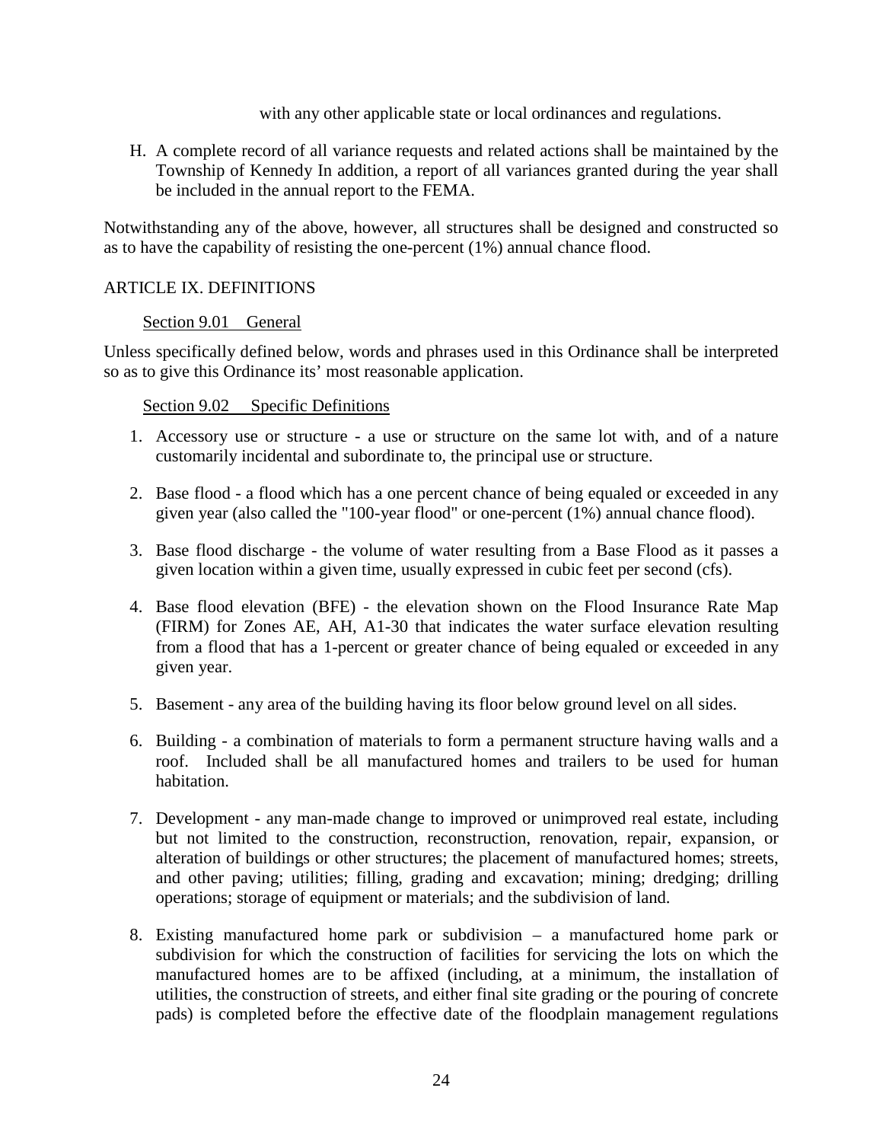with any other applicable state or local ordinances and regulations.

H. A complete record of all variance requests and related actions shall be maintained by the Township of Kennedy In addition, a report of all variances granted during the year shall be included in the annual report to the FEMA.

Notwithstanding any of the above, however, all structures shall be designed and constructed so as to have the capability of resisting the one-percent (1%) annual chance flood.

### ARTICLE IX. DEFINITIONS

### Section 9.01 General

Unless specifically defined below, words and phrases used in this Ordinance shall be interpreted so as to give this Ordinance its' most reasonable application.

### Section 9.02 Specific Definitions

- 1. Accessory use or structure a use or structure on the same lot with, and of a nature customarily incidental and subordinate to, the principal use or structure.
- 2. Base flood a flood which has a one percent chance of being equaled or exceeded in any given year (also called the "100-year flood" or one-percent (1%) annual chance flood).
- 3. Base flood discharge the volume of water resulting from a Base Flood as it passes a given location within a given time, usually expressed in cubic feet per second (cfs).
- 4. Base flood elevation (BFE) the elevation shown on the Flood Insurance Rate Map (FIRM) for Zones AE, AH, A1-30 that indicates the water surface elevation resulting from a flood that has a 1-percent or greater chance of being equaled or exceeded in any given year.
- 5. Basement any area of the building having its floor below ground level on all sides.
- 6. Building a combination of materials to form a permanent structure having walls and a roof. Included shall be all manufactured homes and trailers to be used for human habitation.
- 7. Development any man-made change to improved or unimproved real estate, including but not limited to the construction, reconstruction, renovation, repair, expansion, or alteration of buildings or other structures; the placement of manufactured homes; streets, and other paving; utilities; filling, grading and excavation; mining; dredging; drilling operations; storage of equipment or materials; and the subdivision of land.
- 8. Existing manufactured home park or subdivision a manufactured home park or subdivision for which the construction of facilities for servicing the lots on which the manufactured homes are to be affixed (including, at a minimum, the installation of utilities, the construction of streets, and either final site grading or the pouring of concrete pads) is completed before the effective date of the floodplain management regulations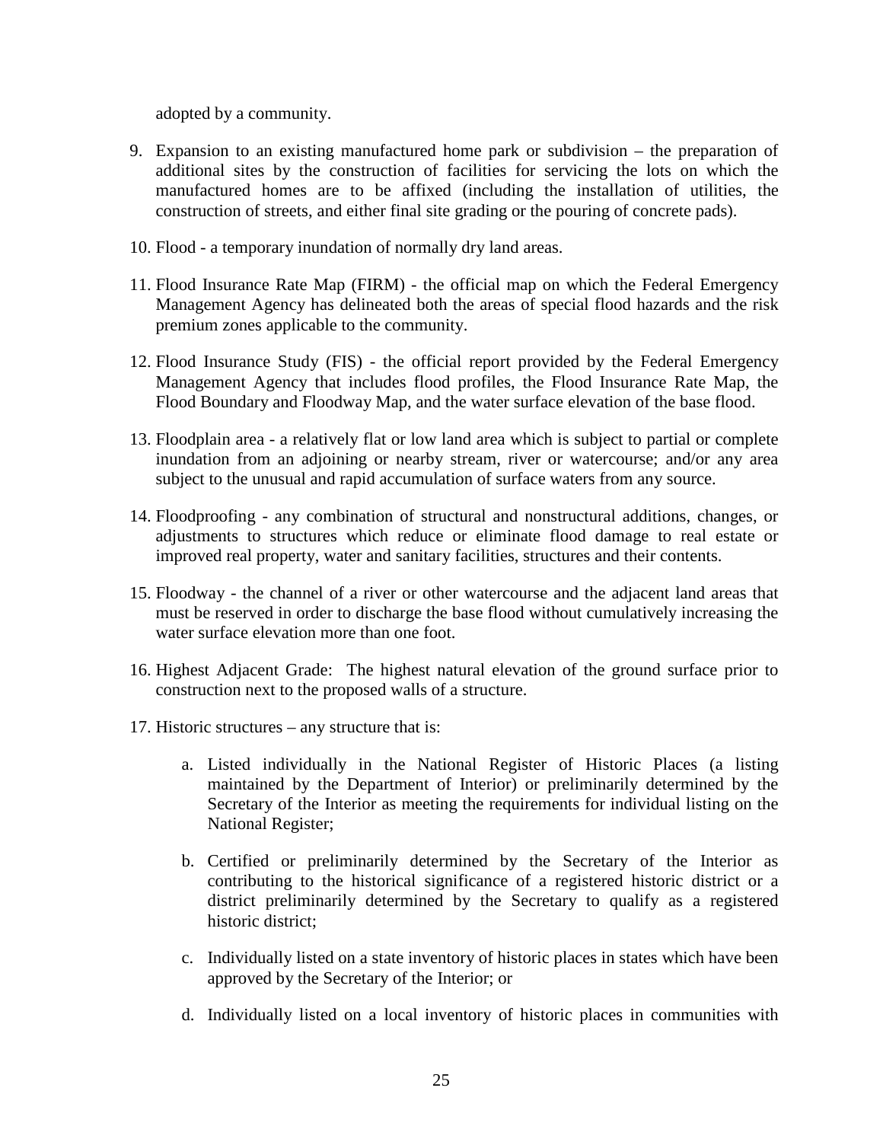adopted by a community.

- 9. Expansion to an existing manufactured home park or subdivision the preparation of additional sites by the construction of facilities for servicing the lots on which the manufactured homes are to be affixed (including the installation of utilities, the construction of streets, and either final site grading or the pouring of concrete pads).
- 10. Flood a temporary inundation of normally dry land areas.
- 11. Flood Insurance Rate Map (FIRM) the official map on which the Federal Emergency Management Agency has delineated both the areas of special flood hazards and the risk premium zones applicable to the community.
- 12. Flood Insurance Study (FIS) the official report provided by the Federal Emergency Management Agency that includes flood profiles, the Flood Insurance Rate Map, the Flood Boundary and Floodway Map, and the water surface elevation of the base flood.
- 13. Floodplain area a relatively flat or low land area which is subject to partial or complete inundation from an adjoining or nearby stream, river or watercourse; and/or any area subject to the unusual and rapid accumulation of surface waters from any source.
- 14. Floodproofing any combination of structural and nonstructural additions, changes, or adjustments to structures which reduce or eliminate flood damage to real estate or improved real property, water and sanitary facilities, structures and their contents.
- 15. Floodway the channel of a river or other watercourse and the adjacent land areas that must be reserved in order to discharge the base flood without cumulatively increasing the water surface elevation more than one foot.
- 16. Highest Adjacent Grade: The highest natural elevation of the ground surface prior to construction next to the proposed walls of a structure.
- 17. Historic structures any structure that is:
	- a. Listed individually in the National Register of Historic Places (a listing maintained by the Department of Interior) or preliminarily determined by the Secretary of the Interior as meeting the requirements for individual listing on the National Register;
	- b. Certified or preliminarily determined by the Secretary of the Interior as contributing to the historical significance of a registered historic district or a district preliminarily determined by the Secretary to qualify as a registered historic district;
	- c. Individually listed on a state inventory of historic places in states which have been approved by the Secretary of the Interior; or
	- d. Individually listed on a local inventory of historic places in communities with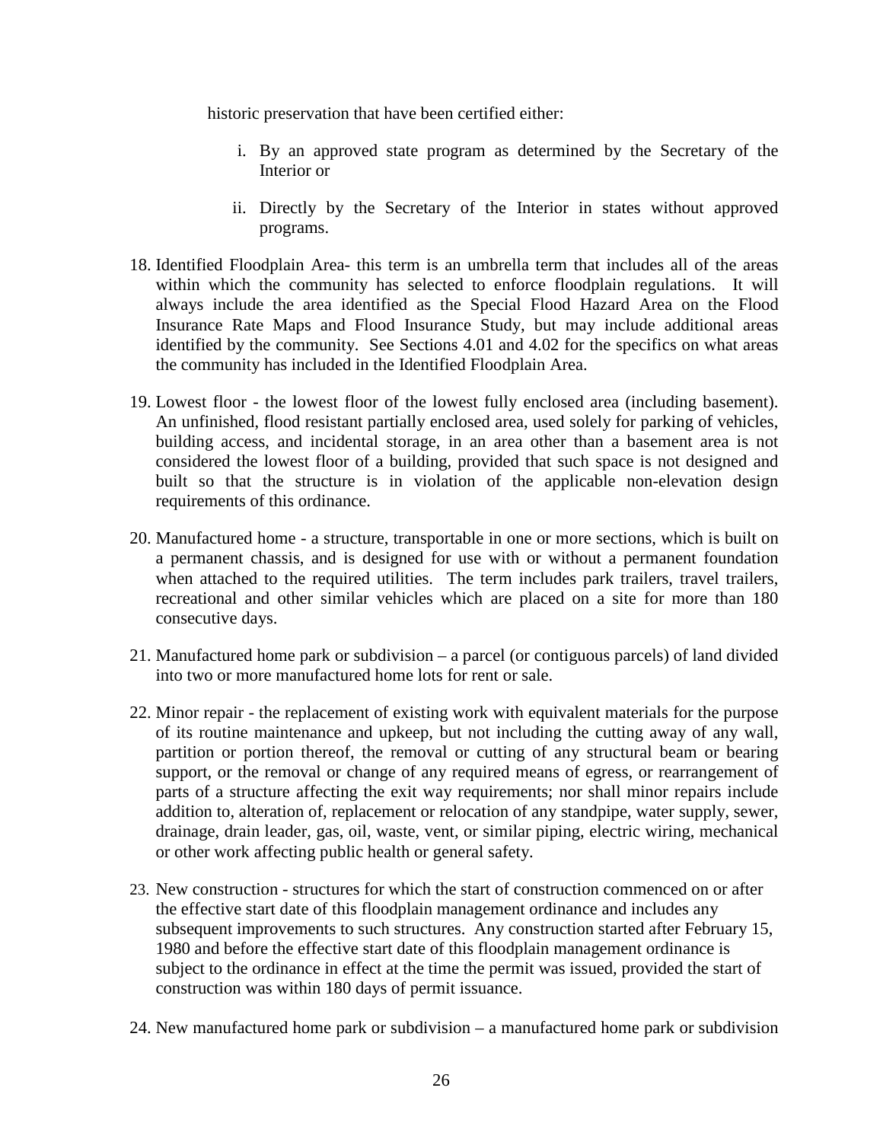historic preservation that have been certified either:

- i. By an approved state program as determined by the Secretary of the Interior or
- ii. Directly by the Secretary of the Interior in states without approved programs.
- 18. Identified Floodplain Area- this term is an umbrella term that includes all of the areas within which the community has selected to enforce floodplain regulations. It will always include the area identified as the Special Flood Hazard Area on the Flood Insurance Rate Maps and Flood Insurance Study, but may include additional areas identified by the community. See Sections 4.01 and 4.02 for the specifics on what areas the community has included in the Identified Floodplain Area.
- 19. Lowest floor the lowest floor of the lowest fully enclosed area (including basement). An unfinished, flood resistant partially enclosed area, used solely for parking of vehicles, building access, and incidental storage, in an area other than a basement area is not considered the lowest floor of a building, provided that such space is not designed and built so that the structure is in violation of the applicable non-elevation design requirements of this ordinance.
- 20. Manufactured home a structure, transportable in one or more sections, which is built on a permanent chassis, and is designed for use with or without a permanent foundation when attached to the required utilities. The term includes park trailers, travel trailers, recreational and other similar vehicles which are placed on a site for more than 180 consecutive days.
- 21. Manufactured home park or subdivision a parcel (or contiguous parcels) of land divided into two or more manufactured home lots for rent or sale.
- 22. Minor repair the replacement of existing work with equivalent materials for the purpose of its routine maintenance and upkeep, but not including the cutting away of any wall, partition or portion thereof, the removal or cutting of any structural beam or bearing support, or the removal or change of any required means of egress, or rearrangement of parts of a structure affecting the exit way requirements; nor shall minor repairs include addition to, alteration of, replacement or relocation of any standpipe, water supply, sewer, drainage, drain leader, gas, oil, waste, vent, or similar piping, electric wiring, mechanical or other work affecting public health or general safety.
- 23. New construction structures for which the start of construction commenced on or after the effective start date of this floodplain management ordinance and includes any subsequent improvements to such structures. Any construction started after February 15, 1980 and before the effective start date of this floodplain management ordinance is subject to the ordinance in effect at the time the permit was issued, provided the start of construction was within 180 days of permit issuance.
- 24. New manufactured home park or subdivision a manufactured home park or subdivision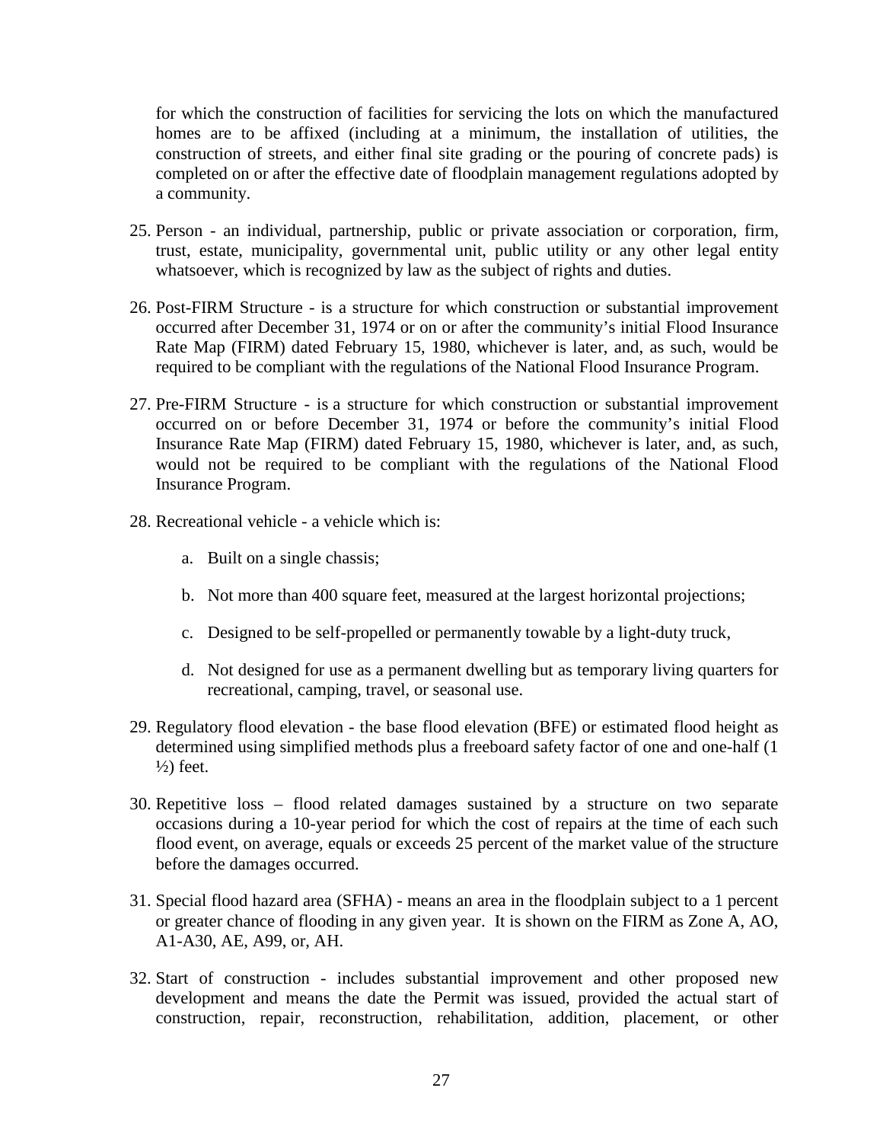for which the construction of facilities for servicing the lots on which the manufactured homes are to be affixed (including at a minimum, the installation of utilities, the construction of streets, and either final site grading or the pouring of concrete pads) is completed on or after the effective date of floodplain management regulations adopted by a community.

- 25. Person an individual, partnership, public or private association or corporation, firm, trust, estate, municipality, governmental unit, public utility or any other legal entity whatsoever, which is recognized by law as the subject of rights and duties.
- 26. Post-FIRM Structure *-* is a structure for which construction or substantial improvement occurred after December 31, 1974 or on or after the community's initial Flood Insurance Rate Map (FIRM) dated February 15, 1980, whichever is later, and, as such, would be required to be compliant with the regulations of the National Flood Insurance Program.
- 27. Pre-FIRM Structure is a structure for which construction or substantial improvement occurred on or before December 31, 1974 or before the community's initial Flood Insurance Rate Map (FIRM) dated February 15, 1980, whichever is later, and, as such, would not be required to be compliant with the regulations of the National Flood Insurance Program.
- 28. Recreational vehicle a vehicle which is:
	- a. Built on a single chassis;
	- b. Not more than 400 square feet, measured at the largest horizontal projections;
	- c. Designed to be self-propelled or permanently towable by a light-duty truck,
	- d. Not designed for use as a permanent dwelling but as temporary living quarters for recreational, camping, travel, or seasonal use.
- 29. Regulatory flood elevation the base flood elevation (BFE) or estimated flood height as determined using simplified methods plus a freeboard safety factor of one and one-half (1  $\frac{1}{2}$  feet.
- 30. Repetitive loss flood related damages sustained by a structure on two separate occasions during a 10-year period for which the cost of repairs at the time of each such flood event, on average, equals or exceeds 25 percent of the market value of the structure before the damages occurred.
- 31. Special flood hazard area (SFHA) means an area in the floodplain subject to a 1 percent or greater chance of flooding in any given year. It is shown on the FIRM as Zone A, AO, A1-A30, AE, A99, or, AH.
- 32. Start of construction includes substantial improvement and other proposed new development and means the date the Permit was issued, provided the actual start of construction, repair, reconstruction, rehabilitation, addition, placement, or other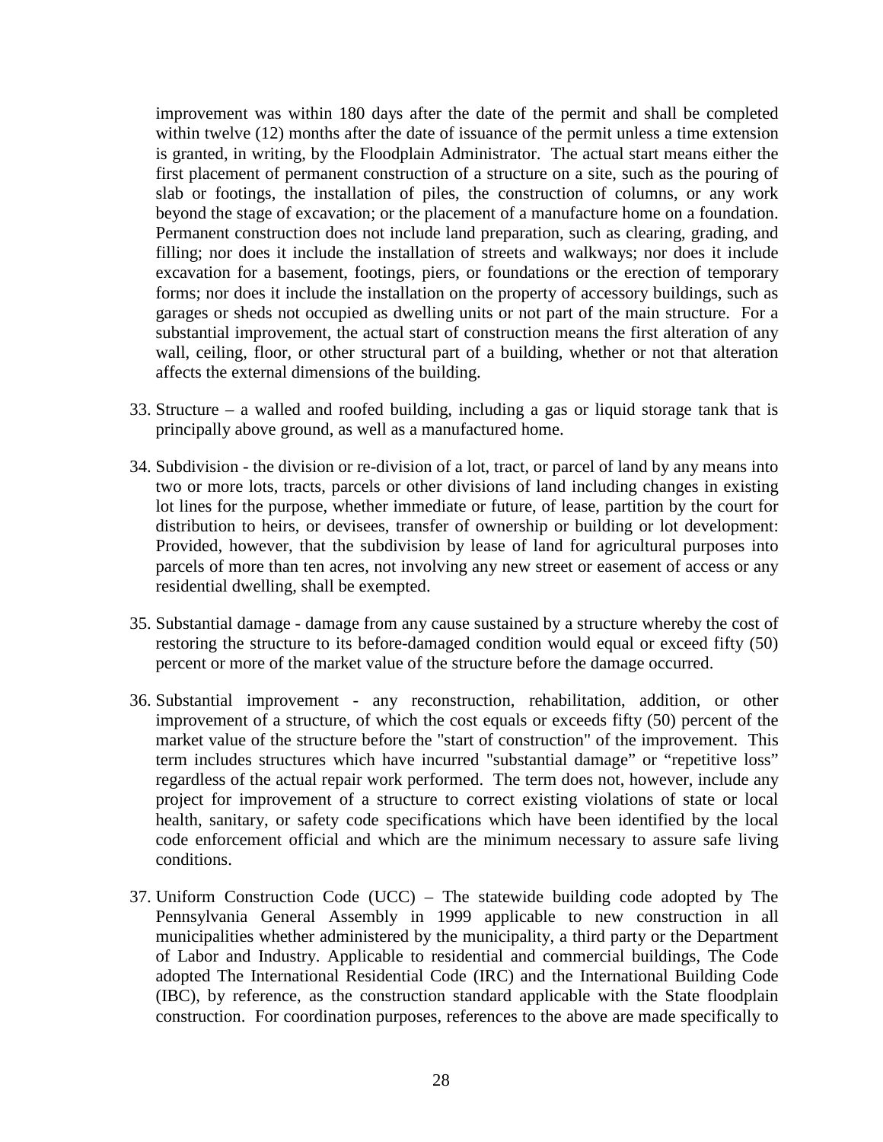improvement was within 180 days after the date of the permit and shall be completed within twelve (12) months after the date of issuance of the permit unless a time extension is granted, in writing, by the Floodplain Administrator. The actual start means either the first placement of permanent construction of a structure on a site, such as the pouring of slab or footings, the installation of piles, the construction of columns, or any work beyond the stage of excavation; or the placement of a manufacture home on a foundation. Permanent construction does not include land preparation, such as clearing, grading, and filling; nor does it include the installation of streets and walkways; nor does it include excavation for a basement, footings, piers, or foundations or the erection of temporary forms; nor does it include the installation on the property of accessory buildings, such as garages or sheds not occupied as dwelling units or not part of the main structure. For a substantial improvement, the actual start of construction means the first alteration of any wall, ceiling, floor, or other structural part of a building, whether or not that alteration affects the external dimensions of the building.

- 33. Structure a walled and roofed building, including a gas or liquid storage tank that is principally above ground, as well as a manufactured home.
- 34. Subdivision the division or re-division of a lot, tract, or parcel of land by any means into two or more lots, tracts, parcels or other divisions of land including changes in existing lot lines for the purpose, whether immediate or future, of lease, partition by the court for distribution to heirs, or devisees, transfer of ownership or building or lot development: Provided, however, that the subdivision by lease of land for agricultural purposes into parcels of more than ten acres, not involving any new street or easement of access or any residential dwelling, shall be exempted.
- 35. Substantial damage damage from any cause sustained by a structure whereby the cost of restoring the structure to its before-damaged condition would equal or exceed fifty (50) percent or more of the market value of the structure before the damage occurred.
- 36. Substantial improvement any reconstruction, rehabilitation, addition, or other improvement of a structure, of which the cost equals or exceeds fifty (50) percent of the market value of the structure before the "start of construction" of the improvement. This term includes structures which have incurred "substantial damage" or "repetitive loss" regardless of the actual repair work performed. The term does not, however, include any project for improvement of a structure to correct existing violations of state or local health, sanitary, or safety code specifications which have been identified by the local code enforcement official and which are the minimum necessary to assure safe living conditions.
- 37. Uniform Construction Code (UCC) The statewide building code adopted by The Pennsylvania General Assembly in 1999 applicable to new construction in all municipalities whether administered by the municipality, a third party or the Department of Labor and Industry. Applicable to residential and commercial buildings, The Code adopted The International Residential Code (IRC) and the International Building Code (IBC), by reference, as the construction standard applicable with the State floodplain construction. For coordination purposes, references to the above are made specifically to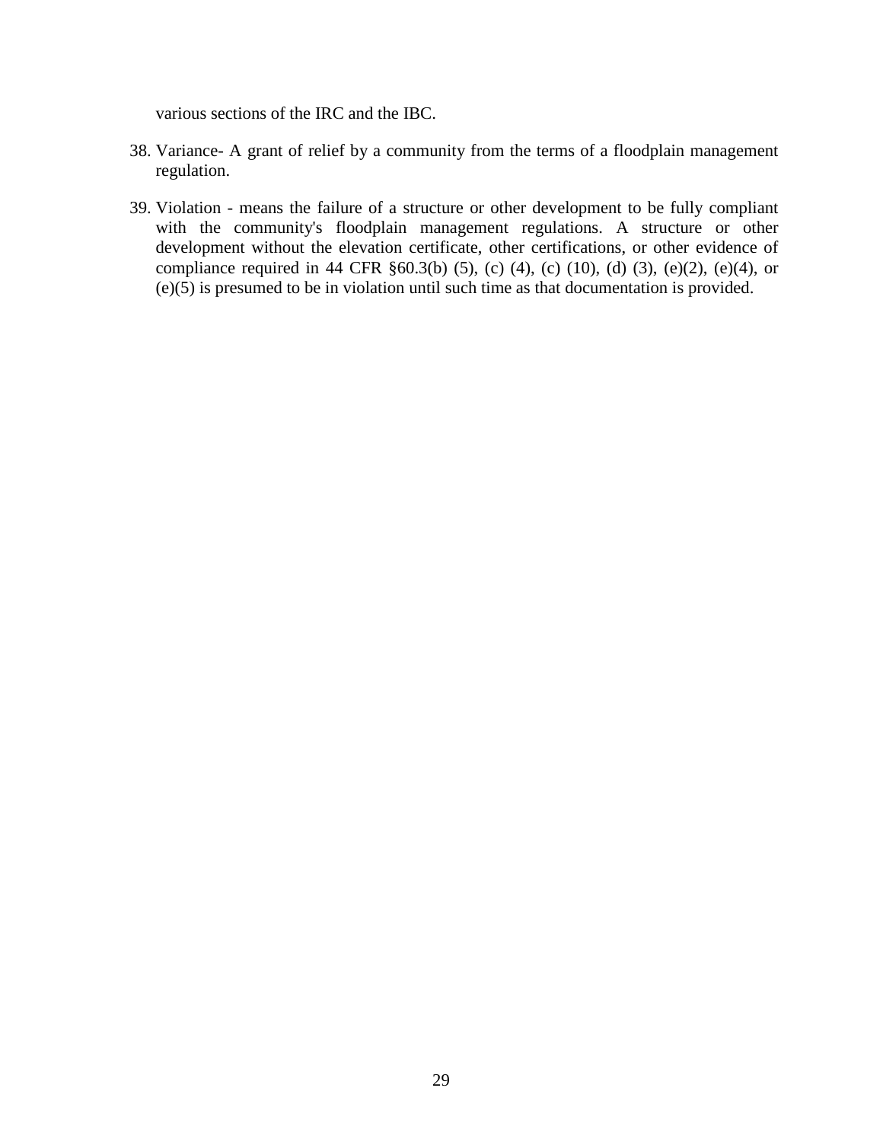various sections of the IRC and the IBC.

- 38. Variance- A grant of relief by a community from the terms of a floodplain management regulation.
- 39. Violation means the failure of a structure or other development to be fully compliant with the community's floodplain management regulations. A structure or other development without the elevation certificate, other certifications, or other evidence of compliance required in 44 CFR  $\S 60.3(b)$  (5), (c) (4), (c) (10), (d) (3), (e)(2), (e)(4), or (e)(5) is presumed to be in violation until such time as that documentation is provided.